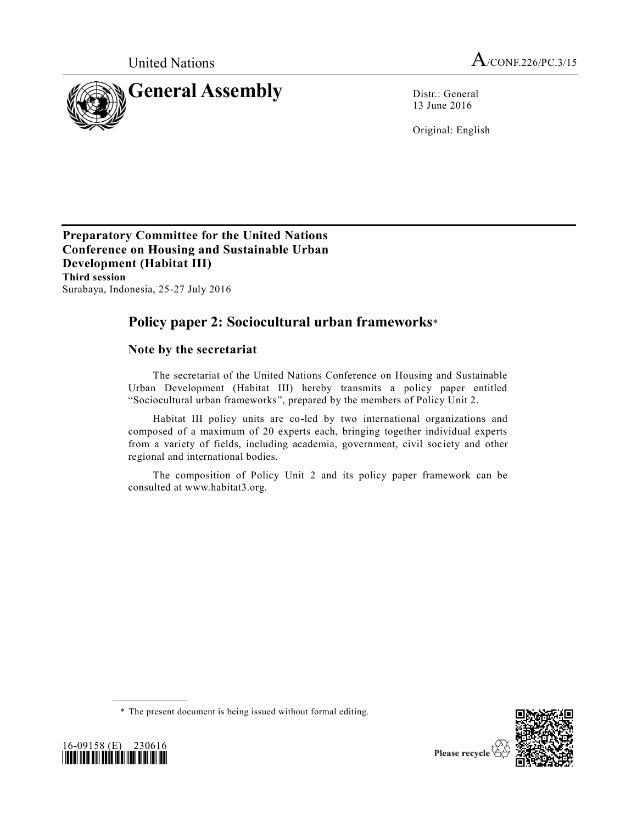

13 June 2016

Original: English

**Preparatory Committee for the United Nations Conference on Housing and Sustainable Urban Development (Habitat III) Third session** Surabaya, Indonesia, 25-27 July 2016

# **Policy paper 2: Sociocultural urban frameworks**\*

### **Note by the secretariat**

The secretariat of the United Nations Conference on Housing and Sustainable Urban Development (Habitat III) hereby transmits a policy paper entitled "Sociocultural urban frameworks", prepared by the members of Policy Unit 2.

Habitat III policy units are co-led by two international organizations and composed of a maximum of 20 experts each, bringing together individual experts from a variety of fields, including academia, government, civil society and other regional and international bodies.

The composition of Policy Unit 2 and its policy paper framework can be consulted at www.habitat3.org.





<sup>\*</sup> The present document is being issued without formal editing.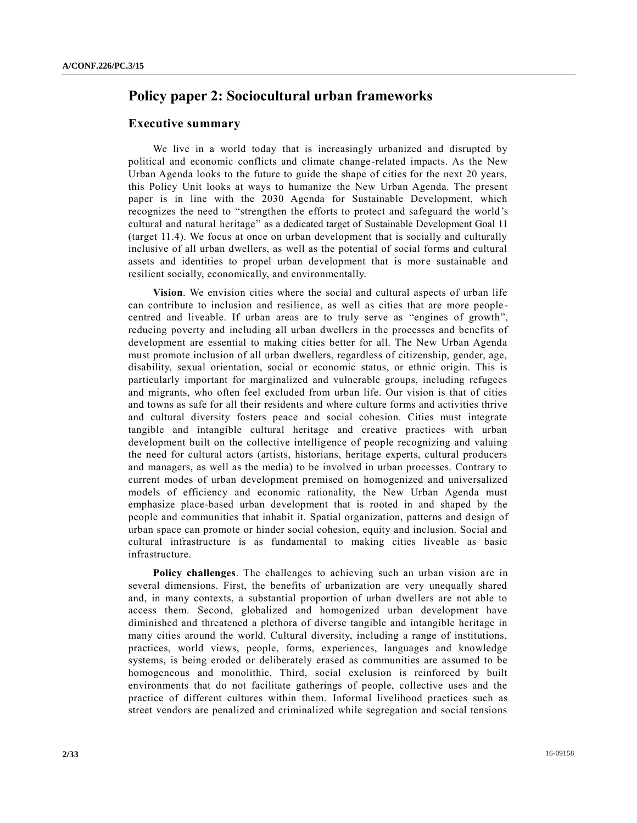## **Policy paper 2: Sociocultural urban frameworks**

#### **Executive summary**

We live in a world today that is increasingly urbanized and disrupted by political and economic conflicts and climate change-related impacts. As the New Urban Agenda looks to the future to guide the shape of cities for the next 20 years, this Policy Unit looks at ways to humanize the New Urban Agenda. The present paper is in line with the 2030 Agenda for Sustainable Development, which recognizes the need to "strengthen the efforts to protect and safeguard the world's cultural and natural heritage" as a dedicated target of Sustainable Development Goal 11 (target 11.4). We focus at once on urban development that is socially and culturally inclusive of all urban dwellers, as well as the potential of social forms and cultural assets and identities to propel urban development that is more sustainable and resilient socially, economically, and environmentally.

**Vision**. We envision cities where the social and cultural aspects of urban life can contribute to inclusion and resilience, as well as cities that are more people centred and liveable. If urban areas are to truly serve as "engines of growth", reducing poverty and including all urban dwellers in the processes and benefits of development are essential to making cities better for all. The New Urban Agenda must promote inclusion of all urban dwellers, regardless of citizenship, gender, age, disability, sexual orientation, social or economic status, or ethnic origin. This is particularly important for marginalized and vulnerable groups, including refugees and migrants, who often feel excluded from urban life. Our vision is that of cities and towns as safe for all their residents and where culture forms and activities thrive and cultural diversity fosters peace and social cohesion. Cities must integrate tangible and intangible cultural heritage and creative practices with urban development built on the collective intelligence of people recognizing and valuing the need for cultural actors (artists, historians, heritage experts, cultural producers and managers, as well as the media) to be involved in urban processes. Contrary to current modes of urban development premised on homogenized and universalized models of efficiency and economic rationality, the New Urban Agenda must emphasize place-based urban development that is rooted in and shaped by the people and communities that inhabit it. Spatial organization, patterns and design of urban space can promote or hinder social cohesion, equity and inclusion. Social and cultural infrastructure is as fundamental to making cities liveable as basic infrastructure.

**Policy challenges**. The challenges to achieving such an urban vision are in several dimensions. First, the benefits of urbanization are very unequally shared and, in many contexts, a substantial proportion of urban dwellers are not able to access them. Second, globalized and homogenized urban development have diminished and threatened a plethora of diverse tangible and intangible heritage in many cities around the world. Cultural diversity, including a range of institutions, practices, world views, people, forms, experiences, languages and knowledge systems, is being eroded or deliberately erased as communities are assumed to be homogeneous and monolithic. Third, social exclusion is reinforced by built environments that do not facilitate gatherings of people, collective uses and the practice of different cultures within them. Informal livelihood practices such as street vendors are penalized and criminalized while segregation and social tensions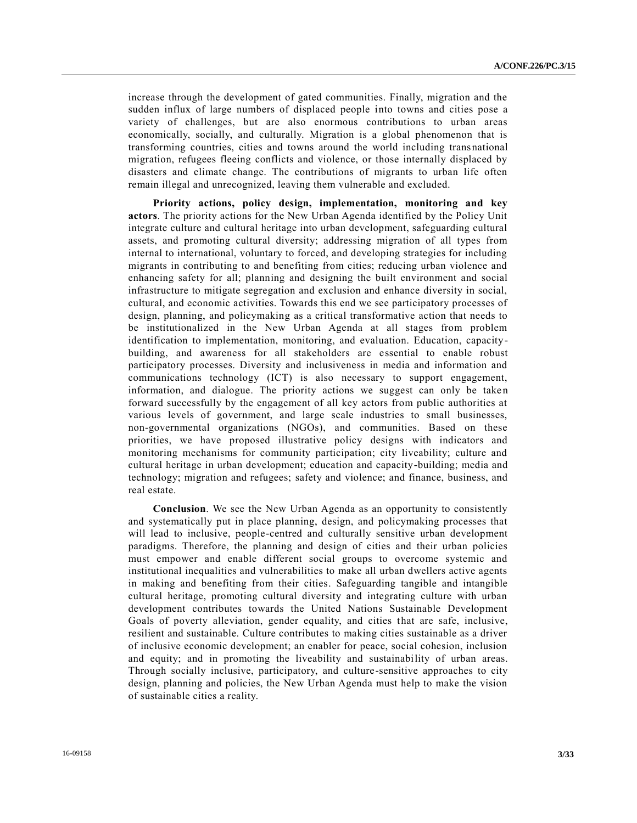increase through the development of gated communities. Finally, migration and the sudden influx of large numbers of displaced people into towns and cities pose a variety of challenges, but are also enormous contributions to urban areas economically, socially, and culturally. Migration is a global phenomenon that is transforming countries, cities and towns around the world including transnational migration, refugees fleeing conflicts and violence, or those internally displaced by disasters and climate change. The contributions of migrants to urban life often remain illegal and unrecognized, leaving them vulnerable and excluded.

**Priority actions, policy design, implementation, monitoring and key actors**. The priority actions for the New Urban Agenda identified by the Policy Unit integrate culture and cultural heritage into urban development, safeguarding cultural assets, and promoting cultural diversity; addressing migration of all types from internal to international, voluntary to forced, and developing strategies for including migrants in contributing to and benefiting from cities; reducing urban violence and enhancing safety for all; planning and designing the built environment and social infrastructure to mitigate segregation and exclusion and enhance diversity in social, cultural, and economic activities. Towards this end we see participatory processes of design, planning, and policymaking as a critical transformative action that needs to be institutionalized in the New Urban Agenda at all stages from problem identification to implementation, monitoring, and evaluation. Education, capacity building, and awareness for all stakeholders are essential to enable robust participatory processes. Diversity and inclusiveness in media and information and communications technology (ICT) is also necessary to support engagement, information, and dialogue. The priority actions we suggest can only be taken forward successfully by the engagement of all key actors from public authorities at various levels of government, and large scale industries to small businesses, non-governmental organizations (NGOs), and communities. Based on these priorities, we have proposed illustrative policy designs with indicators and monitoring mechanisms for community participation; city liveability; culture and cultural heritage in urban development; education and capacity-building; media and technology; migration and refugees; safety and violence; and finance, business, and real estate.

**Conclusion**. We see the New Urban Agenda as an opportunity to consistently and systematically put in place planning, design, and policymaking processes that will lead to inclusive, people-centred and culturally sensitive urban development paradigms. Therefore, the planning and design of cities and their urban policies must empower and enable different social groups to overcome systemic and institutional inequalities and vulnerabilities to make all urban dwellers active agents in making and benefiting from their cities. Safeguarding tangible and intangible cultural heritage, promoting cultural diversity and integrating culture with urban development contributes towards the United Nations Sustainable Development Goals of poverty alleviation, gender equality, and cities that are safe, inclusive, resilient and sustainable. Culture contributes to making cities sustainable as a driver of inclusive economic development; an enabler for peace, social cohesion, inclusion and equity; and in promoting the liveability and sustainability of urban areas. Through socially inclusive, participatory, and culture-sensitive approaches to city design, planning and policies, the New Urban Agenda must help to make the vision of sustainable cities a reality.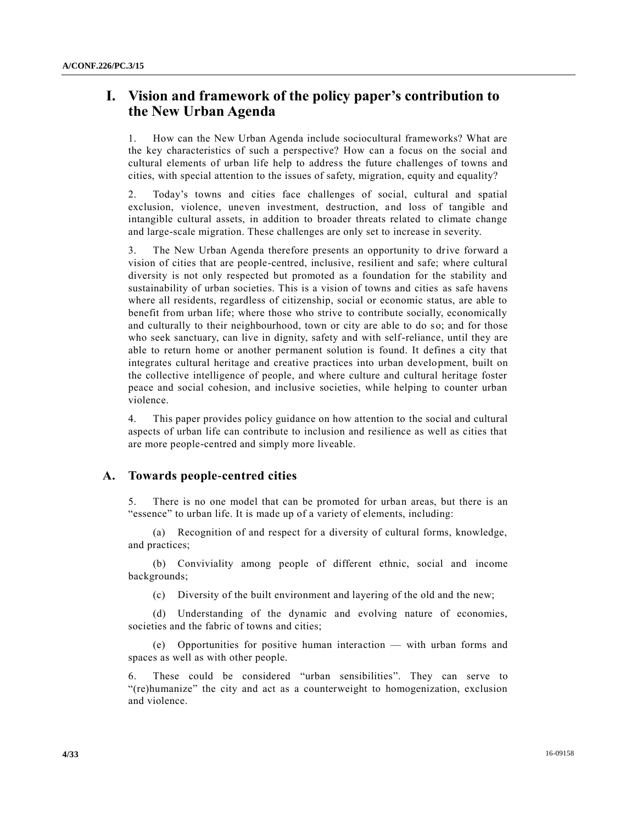## **I. Vision and framework of the policy paper's contribution to the New Urban Agenda**

1. How can the New Urban Agenda include sociocultural frameworks? What are the key characteristics of such a perspective? How can a focus on the social and cultural elements of urban life help to address the future challenges of towns and cities, with special attention to the issues of safety, migration, equity and equality?

2. Today's towns and cities face challenges of social, cultural and spatial exclusion, violence, uneven investment, destruction, and loss of tangible and intangible cultural assets, in addition to broader threats related to climate change and large-scale migration. These challenges are only set to increase in severity.

3. The New Urban Agenda therefore presents an opportunity to drive forward a vision of cities that are people-centred, inclusive, resilient and safe; where cultural diversity is not only respected but promoted as a foundation for the stability and sustainability of urban societies. This is a vision of towns and cities as safe havens where all residents, regardless of citizenship, social or economic status, are able to benefit from urban life; where those who strive to contribute socially, economically and culturally to their neighbourhood, town or city are able to do so; and for those who seek sanctuary, can live in dignity, safety and with self-reliance, until they are able to return home or another permanent solution is found. It defines a city that integrates cultural heritage and creative practices into urban development, built on the collective intelligence of people, and where culture and cultural heritage foster peace and social cohesion, and inclusive societies, while helping to counter urban violence.

4. This paper provides policy guidance on how attention to the social and cultural aspects of urban life can contribute to inclusion and resilience as well as cities that are more people-centred and simply more liveable.

#### **A. Towards people-centred cities**

5. There is no one model that can be promoted for urban areas, but there is an "essence" to urban life. It is made up of a variety of elements, including:

(a) Recognition of and respect for a diversity of cultural forms, knowledge, and practices;

(b) Conviviality among people of different ethnic, social and income backgrounds;

(c) Diversity of the built environment and layering of the old and the new;

(d) Understanding of the dynamic and evolving nature of economies, societies and the fabric of towns and cities;

(e) Opportunities for positive human interaction — with urban forms and spaces as well as with other people.

6. These could be considered "urban sensibilities". They can serve to "(re)humanize" the city and act as a counterweight to homogenization, exclusion and violence.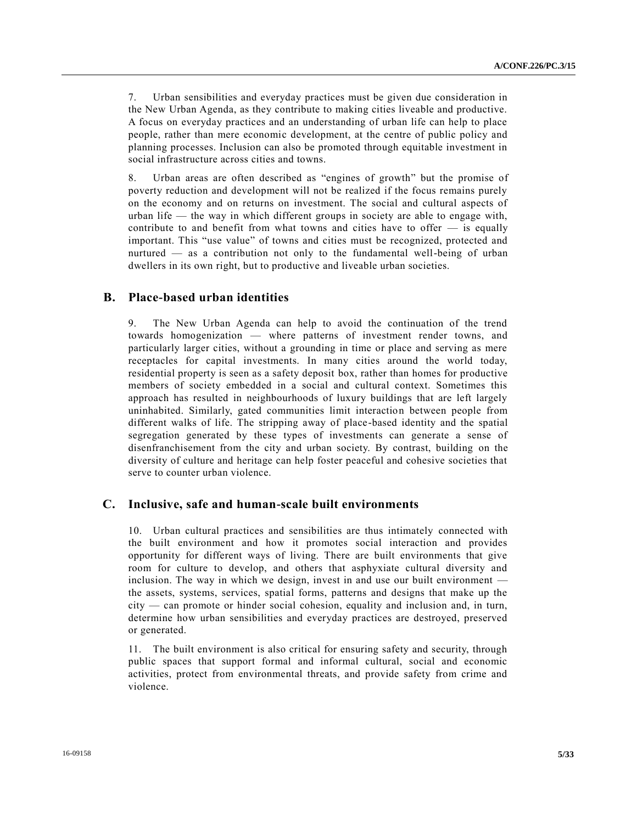7. Urban sensibilities and everyday practices must be given due consideration in the New Urban Agenda, as they contribute to making cities liveable and productive. A focus on everyday practices and an understanding of urban life can help to place people, rather than mere economic development, at the centre of public policy and planning processes. Inclusion can also be promoted through equitable investment in social infrastructure across cities and towns.

8. Urban areas are often described as "engines of growth" but the promise of poverty reduction and development will not be realized if the focus remains purely on the economy and on returns on investment. The social and cultural aspects of urban life — the way in which different groups in society are able to engage with, contribute to and benefit from what towns and cities have to offer — is equally important. This "use value" of towns and cities must be recognized, protected and nurtured — as a contribution not only to the fundamental well-being of urban dwellers in its own right, but to productive and liveable urban societies.

### **B. Place-based urban identities**

9. The New Urban Agenda can help to avoid the continuation of the trend towards homogenization — where patterns of investment render towns, and particularly larger cities, without a grounding in time or place and serving as mere receptacles for capital investments. In many cities around the world today, residential property is seen as a safety deposit box, rather than homes for productive members of society embedded in a social and cultural context. Sometimes this approach has resulted in neighbourhoods of luxury buildings that are left largely uninhabited. Similarly, gated communities limit interaction between people from different walks of life. The stripping away of place-based identity and the spatial segregation generated by these types of investments can generate a sense of disenfranchisement from the city and urban society. By contrast, building on the diversity of culture and heritage can help foster peaceful and cohesive societies that serve to counter urban violence.

#### **C. Inclusive, safe and human-scale built environments**

10. Urban cultural practices and sensibilities are thus intimately connected with the built environment and how it promotes social interaction and provides opportunity for different ways of living. There are built environments that give room for culture to develop, and others that asphyxiate cultural diversity and inclusion. The way in which we design, invest in and use our built environment the assets, systems, services, spatial forms, patterns and designs that make up the city — can promote or hinder social cohesion, equality and inclusion and, in turn, determine how urban sensibilities and everyday practices are destroyed, preserved or generated.

11. The built environment is also critical for ensuring safety and security, through public spaces that support formal and informal cultural, social and economic activities, protect from environmental threats, and provide safety from crime and violence.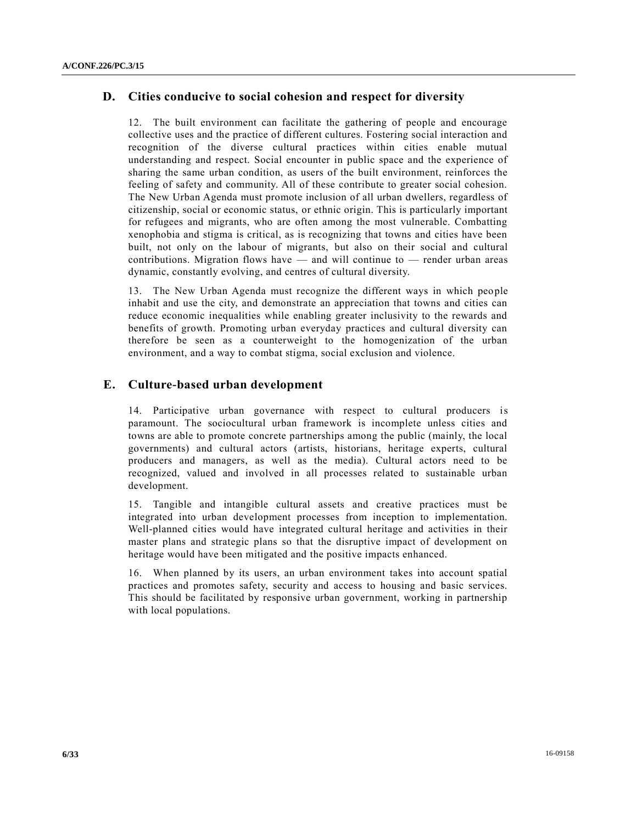### **D. Cities conducive to social cohesion and respect for diversity**

12. The built environment can facilitate the gathering of people and encourage collective uses and the practice of different cultures. Fostering social interaction and recognition of the diverse cultural practices within cities enable mutual understanding and respect. Social encounter in public space and the experience of sharing the same urban condition, as users of the built environment, reinforces the feeling of safety and community. All of these contribute to greater social cohesion. The New Urban Agenda must promote inclusion of all urban dwellers, regardless of citizenship, social or economic status, or ethnic origin. This is particularly important for refugees and migrants, who are often among the most vulnerable. Combatting xenophobia and stigma is critical, as is recognizing that towns and cities have been built, not only on the labour of migrants, but also on their social and cultural contributions. Migration flows have  $-$  and will continue to  $-$  render urban areas dynamic, constantly evolving, and centres of cultural diversity.

13. The New Urban Agenda must recognize the different ways in which people inhabit and use the city, and demonstrate an appreciation that towns and cities can reduce economic inequalities while enabling greater inclusivity to the rewards and benefits of growth. Promoting urban everyday practices and cultural diversity can therefore be seen as a counterweight to the homogenization of the urban environment, and a way to combat stigma, social exclusion and violence.

### **E. Culture-based urban development**

14. Participative urban governance with respect to cultural producers is paramount. The sociocultural urban framework is incomplete unless cities and towns are able to promote concrete partnerships among the public (mainly, the local governments) and cultural actors (artists, historians, heritage experts, cultural producers and managers, as well as the media). Cultural actors need to be recognized, valued and involved in all processes related to sustainable urban development.

15. Tangible and intangible cultural assets and creative practices must be integrated into urban development processes from inception to implementation. Well-planned cities would have integrated cultural heritage and activities in their master plans and strategic plans so that the disruptive impact of development on heritage would have been mitigated and the positive impacts enhanced.

16. When planned by its users, an urban environment takes into account spatial practices and promotes safety, security and access to housing and basic services. This should be facilitated by responsive urban government, working in partnership with local populations.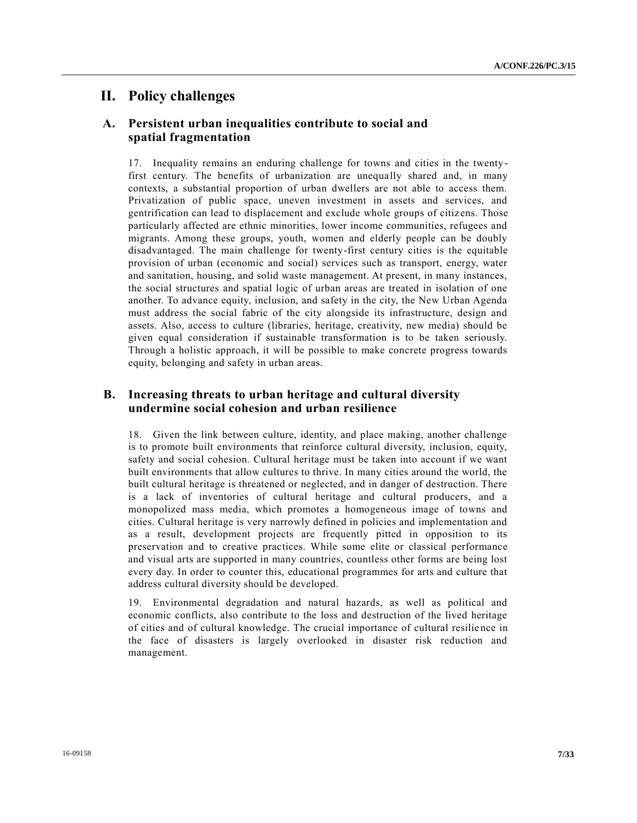## **II. Policy challenges**

### **A. Persistent urban inequalities contribute to social and spatial fragmentation**

17. Inequality remains an enduring challenge for towns and cities in the twentyfirst century. The benefits of urbanization are unequally shared and, in many contexts, a substantial proportion of urban dwellers are not able to access them. Privatization of public space, uneven investment in assets and services, and gentrification can lead to displacement and exclude whole groups of citiz ens. Those particularly affected are ethnic minorities, lower income communities, refugees and migrants. Among these groups, youth, women and elderly people can be doubly disadvantaged. The main challenge for twenty-first century cities is the equitable provision of urban (economic and social) services such as transport, energy, water and sanitation, housing, and solid waste management. At present, in many instances, the social structures and spatial logic of urban areas are treated in isolation of one another. To advance equity, inclusion, and safety in the city, the New Urban Agenda must address the social fabric of the city alongside its infrastructure, design and assets. Also, access to culture (libraries, heritage, creativity, new media) should be given equal consideration if sustainable transformation is to be taken seriously. Through a holistic approach, it will be possible to make concrete progress towards equity, belonging and safety in urban areas.

### **B. Increasing threats to urban heritage and cultural diversity undermine social cohesion and urban resilience**

18. Given the link between culture, identity, and place making, another challenge is to promote built environments that reinforce cultural diversity, inclusion, equity, safety and social cohesion. Cultural heritage must be taken into account if we want built environments that allow cultures to thrive. In many cities around the world, the built cultural heritage is threatened or neglected, and in danger of destruction. There is a lack of inventories of cultural heritage and cultural producers, and a monopolized mass media, which promotes a homogeneous image of towns and cities. Cultural heritage is very narrowly defined in policies and implementation and as a result, development projects are frequently pitted in opposition to its preservation and to creative practices. While some elite or classical performance and visual arts are supported in many countries, countless other forms are being lost every day. In order to counter this, educational programmes for arts and culture that address cultural diversity should be developed.

19. Environmental degradation and natural hazards, as well as political and economic conflicts, also contribute to the loss and destruction of the lived heritage of cities and of cultural knowledge. The crucial importance of cultural resilie nce in the face of disasters is largely overlooked in disaster risk reduction and management.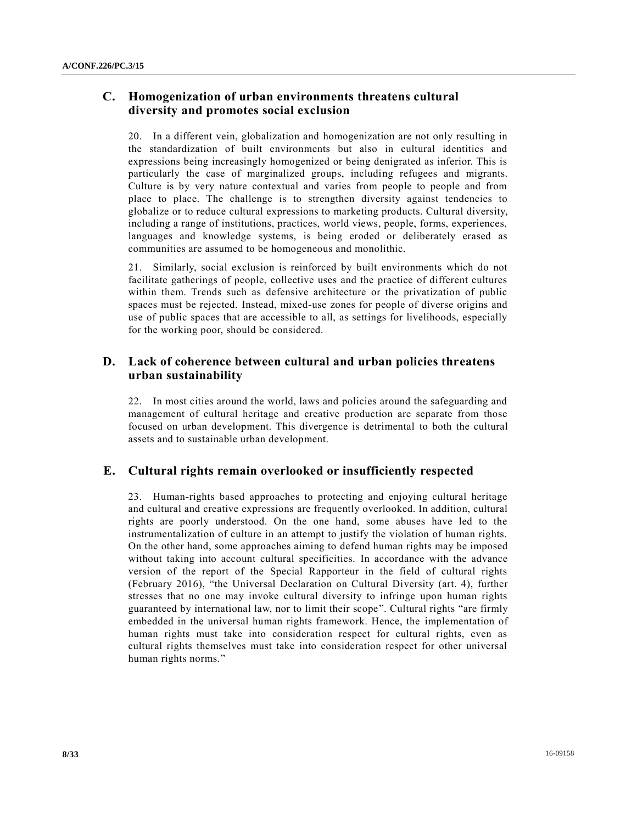## **C. Homogenization of urban environments threatens cultural diversity and promotes social exclusion**

20. In a different vein, globalization and homogenization are not only resulting in the standardization of built environments but also in cultural identities and expressions being increasingly homogenized or being denigrated as inferior. This is particularly the case of marginalized groups, including refugees and migrants. Culture is by very nature contextual and varies from people to people and from place to place. The challenge is to strengthen diversity against tendencies to globalize or to reduce cultural expressions to marketing products. Cultural diversity, including a range of institutions, practices, world views, people, forms, experiences, languages and knowledge systems, is being eroded or deliberately erased as communities are assumed to be homogeneous and monolithic.

21. Similarly, social exclusion is reinforced by built environments which do not facilitate gatherings of people, collective uses and the practice of different cultures within them. Trends such as defensive architecture or the privatization of public spaces must be rejected. Instead, mixed-use zones for people of diverse origins and use of public spaces that are accessible to all, as settings for livelihoods, especially for the working poor, should be considered.

### **D. Lack of coherence between cultural and urban policies threatens urban sustainability**

22. In most cities around the world, laws and policies around the safeguarding and management of cultural heritage and creative production are separate from those focused on urban development. This divergence is detrimental to both the cultural assets and to sustainable urban development.

### **E. Cultural rights remain overlooked or insufficiently respected**

23. Human-rights based approaches to protecting and enjoying cultural heritage and cultural and creative expressions are frequently overlooked. In addition, cultural rights are poorly understood. On the one hand, some abuses have led to the instrumentalization of culture in an attempt to justify the violation of human rights. On the other hand, some approaches aiming to defend human rights may be imposed without taking into account cultural specificities. In accordance with the advance version of the report of the Special Rapporteur in the field of cultural rights (February 2016), "the Universal Declaration on Cultural Diversity (art. 4), further stresses that no one may invoke cultural diversity to infringe upon human rights guaranteed by international law, nor to limit their scope". Cultural rights "are firmly embedded in the universal human rights framework. Hence, the implementation of human rights must take into consideration respect for cultural rights, even as cultural rights themselves must take into consideration respect for other universal human rights norms."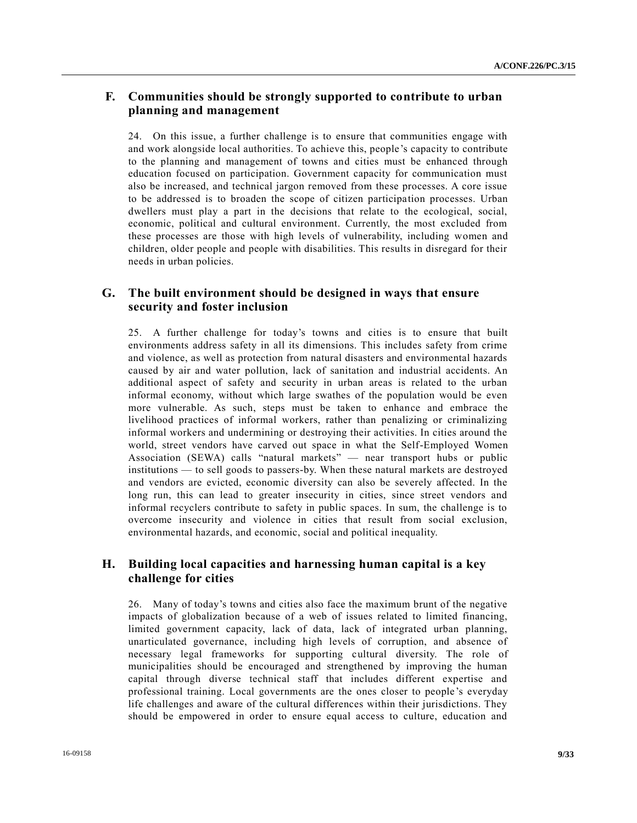### **F. Communities should be strongly supported to contribute to urban planning and management**

24. On this issue, a further challenge is to ensure that communities engage with and work alongside local authorities. To achieve this, people's capacity to contribute to the planning and management of towns and cities must be enhanced through education focused on participation. Government capacity for communication must also be increased, and technical jargon removed from these processes. A core issue to be addressed is to broaden the scope of citizen participation processes. Urban dwellers must play a part in the decisions that relate to the ecological, social, economic, political and cultural environment. Currently, the most excluded from these processes are those with high levels of vulnerability, including women and children, older people and people with disabilities. This results in disregard for their needs in urban policies.

### **G. The built environment should be designed in ways that ensure security and foster inclusion**

25. A further challenge for today's towns and cities is to ensure that built environments address safety in all its dimensions. This includes safety from crime and violence, as well as protection from natural disasters and environmental hazards caused by air and water pollution, lack of sanitation and industrial accidents. An additional aspect of safety and security in urban areas is related to the urban informal economy, without which large swathes of the population would be even more vulnerable. As such, steps must be taken to enhance and embrace the livelihood practices of informal workers, rather than penalizing or criminalizing informal workers and undermining or destroying their activities. In cities around the world, street vendors have carved out space in what the Self-Employed Women Association (SEWA) calls "natural markets" — near transport hubs or public institutions — to sell goods to passers-by. When these natural markets are destroyed and vendors are evicted, economic diversity can also be severely affected. In the long run, this can lead to greater insecurity in cities, since street vendors and informal recyclers contribute to safety in public spaces. In sum, the challenge is to overcome insecurity and violence in cities that result from social exclusion, environmental hazards, and economic, social and political inequality.

### **H. Building local capacities and harnessing human capital is a key challenge for cities**

26. Many of today's towns and cities also face the maximum brunt of the negative impacts of globalization because of a web of issues related to limited financing, limited government capacity, lack of data, lack of integrated urban planning, unarticulated governance, including high levels of corruption, and absence of necessary legal frameworks for supporting cultural diversity. The role of municipalities should be encouraged and strengthened by improving the human capital through diverse technical staff that includes different expertise and professional training. Local governments are the ones closer to people 's everyday life challenges and aware of the cultural differences within their jurisdictions. They should be empowered in order to ensure equal access to culture, education and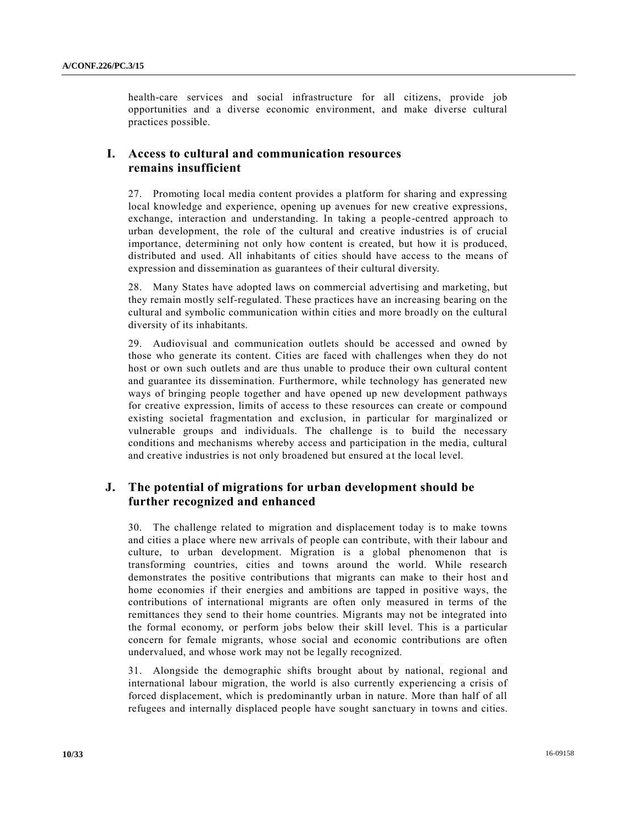health-care services and social infrastructure for all citizens, provide job opportunities and a diverse economic environment, and make diverse cultural practices possible.

### **I. Access to cultural and communication resources remains insufficient**

27. Promoting local media content provides a platform for sharing and expressing local knowledge and experience, opening up avenues for new creative expressions, exchange, interaction and understanding. In taking a people-centred approach to urban development, the role of the cultural and creative industries is of crucial importance, determining not only how content is created, but how it is produced, distributed and used. All inhabitants of cities should have access to the means of expression and dissemination as guarantees of their cultural diversity.

28. Many States have adopted laws on commercial advertising and marketing, but they remain mostly self-regulated. These practices have an increasing bearing on the cultural and symbolic communication within cities and more broadly on the cultural diversity of its inhabitants.

29. Audiovisual and communication outlets should be accessed and owned by those who generate its content. Cities are faced with challenges when they do not host or own such outlets and are thus unable to produce their own cultural content and guarantee its dissemination. Furthermore, while technology has generated new ways of bringing people together and have opened up new development pathways for creative expression, limits of access to these resources can create or compound existing societal fragmentation and exclusion, in particular for marginalized or vulnerable groups and individuals. The challenge is to build the necessary conditions and mechanisms whereby access and participation in the media, cultural and creative industries is not only broadened but ensured at the local level.

### **J. The potential of migrations for urban development should be further recognized and enhanced**

30. The challenge related to migration and displacement today is to make towns and cities a place where new arrivals of people can contribute, with their labour and culture, to urban development. Migration is a global phenomenon that is transforming countries, cities and towns around the world. While research demonstrates the positive contributions that migrants can make to their host and home economies if their energies and ambitions are tapped in positive ways, the contributions of international migrants are often only measured in terms of the remittances they send to their home countries. Migrants may not be integrated into the formal economy, or perform jobs below their skill level. This is a particular concern for female migrants, whose social and economic contributions are often undervalued, and whose work may not be legally recognized.

31. Alongside the demographic shifts brought about by national, regional and international labour migration, the world is also currently experiencing a crisis of forced displacement, which is predominantly urban in nature. More than half of all refugees and internally displaced people have sought sanctuary in towns and cities.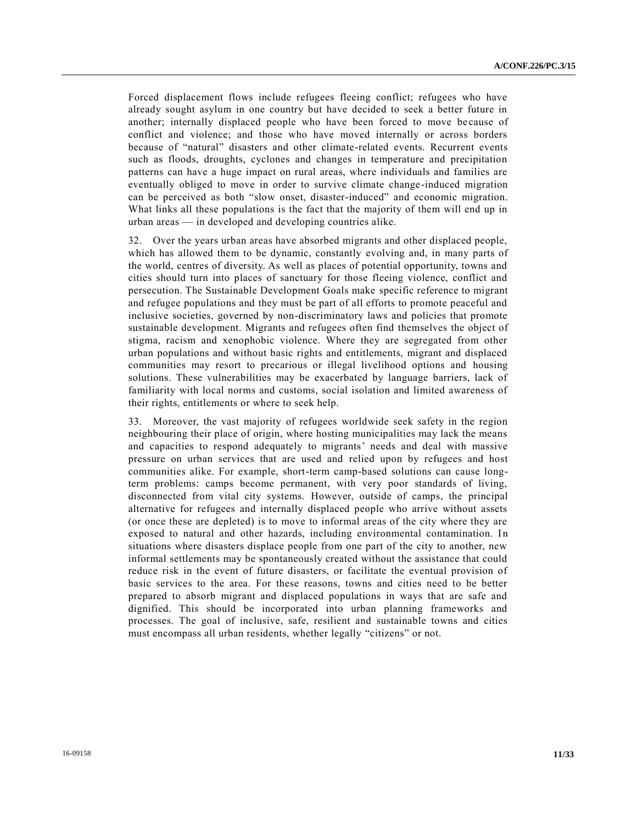Forced displacement flows include refugees fleeing conflict; refugees who have already sought asylum in one country but have decided to seek a better future in another; internally displaced people who have been forced to move be cause of conflict and violence; and those who have moved internally or across borders because of "natural" disasters and other climate-related events. Recurrent events such as floods, droughts, cyclones and changes in temperature and precipitation patterns can have a huge impact on rural areas, where individuals and families are eventually obliged to move in order to survive climate change -induced migration can be perceived as both "slow onset, disaster-induced" and economic migration. What links all these populations is the fact that the majority of them will end up in urban areas — in developed and developing countries alike.

32. Over the years urban areas have absorbed migrants and other displaced people, which has allowed them to be dynamic, constantly evolving and, in many parts of the world, centres of diversity. As well as places of potential opportunity, towns and cities should turn into places of sanctuary for those fleeing violence, conflict and persecution. The Sustainable Development Goals make specific reference to migrant and refugee populations and they must be part of all efforts to promote peaceful and inclusive societies, governed by non-discriminatory laws and policies that promote sustainable development. Migrants and refugees often find themselves the object of stigma, racism and xenophobic violence. Where they are segregated from other urban populations and without basic rights and entitlements, migrant and displaced communities may resort to precarious or illegal livelihood options and housing solutions. These vulnerabilities may be exacerbated by language barriers, lack of familiarity with local norms and customs, social isolation and limited awareness of their rights, entitlements or where to seek help.

33. Moreover, the vast majority of refugees worldwide seek safety in the region neighbouring their place of origin, where hosting municipalities may lack the means and capacities to respond adequately to migrants' needs and deal with massive pressure on urban services that are used and relied upon by refugees and host communities alike. For example, short-term camp-based solutions can cause longterm problems: camps become permanent, with very poor standards of living, disconnected from vital city systems. However, outside of camps, the principal alternative for refugees and internally displaced people who arrive without assets (or once these are depleted) is to move to informal areas of the city where they are exposed to natural and other hazards, including environmental contamination. In situations where disasters displace people from one part of the city to another, new informal settlements may be spontaneously created without the assistance that could reduce risk in the event of future disasters, or facilitate the eventual provision of basic services to the area. For these reasons, towns and cities need to be better prepared to absorb migrant and displaced populations in ways that are safe and dignified. This should be incorporated into urban planning frameworks and processes. The goal of inclusive, safe, resilient and sustainable towns and cities must encompass all urban residents, whether legally "citizens" or not.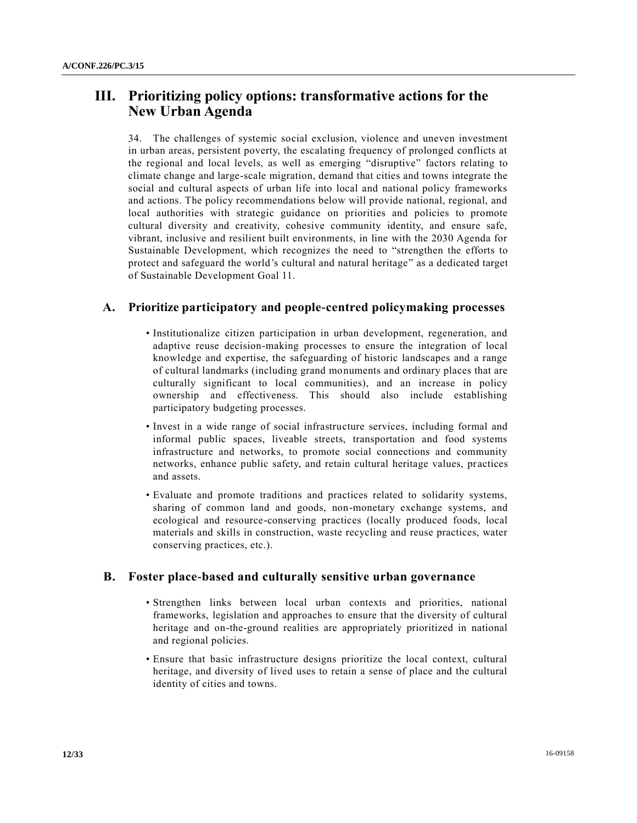# **III. Prioritizing policy options: transformative actions for the New Urban Agenda**

34. The challenges of systemic social exclusion, violence and uneven investment in urban areas, persistent poverty, the escalating frequency of prolonged conflicts at the regional and local levels, as well as emerging "disruptive" factors relating to climate change and large-scale migration, demand that cities and towns integrate the social and cultural aspects of urban life into local and national policy frameworks and actions. The policy recommendations below will provide national, regional, and local authorities with strategic guidance on priorities and policies to promote cultural diversity and creativity, cohesive community identity, and ensure safe, vibrant, inclusive and resilient built environments, in line with the 2030 Agenda for Sustainable Development, which recognizes the need to "strengthen the efforts to protect and safeguard the world's cultural and natural heritage" as a dedicated target of Sustainable Development Goal 11.

### **A. Prioritize participatory and people-centred policymaking processes**

- Institutionalize citizen participation in urban development, regeneration, and adaptive reuse decision-making processes to ensure the integration of local knowledge and expertise, the safeguarding of historic landscapes and a range of cultural landmarks (including grand monuments and ordinary places that are culturally significant to local communities), and an increase in policy ownership and effectiveness. This should also include establishing participatory budgeting processes.
- Invest in a wide range of social infrastructure services, including formal and informal public spaces, liveable streets, transportation and food systems infrastructure and networks, to promote social connections and community networks, enhance public safety, and retain cultural heritage values, pr actices and assets.
- Evaluate and promote traditions and practices related to solidarity systems, sharing of common land and goods, non-monetary exchange systems, and ecological and resource-conserving practices (locally produced foods, local materials and skills in construction, waste recycling and reuse practices, water conserving practices, etc.).

### **B. Foster place-based and culturally sensitive urban governance**

- Strengthen links between local urban contexts and priorities, national frameworks, legislation and approaches to ensure that the diversity of cultural heritage and on-the-ground realities are appropriately prioritized in national and regional policies.
- Ensure that basic infrastructure designs prioritize the local context, cultural heritage, and diversity of lived uses to retain a sense of place and the cultural identity of cities and towns.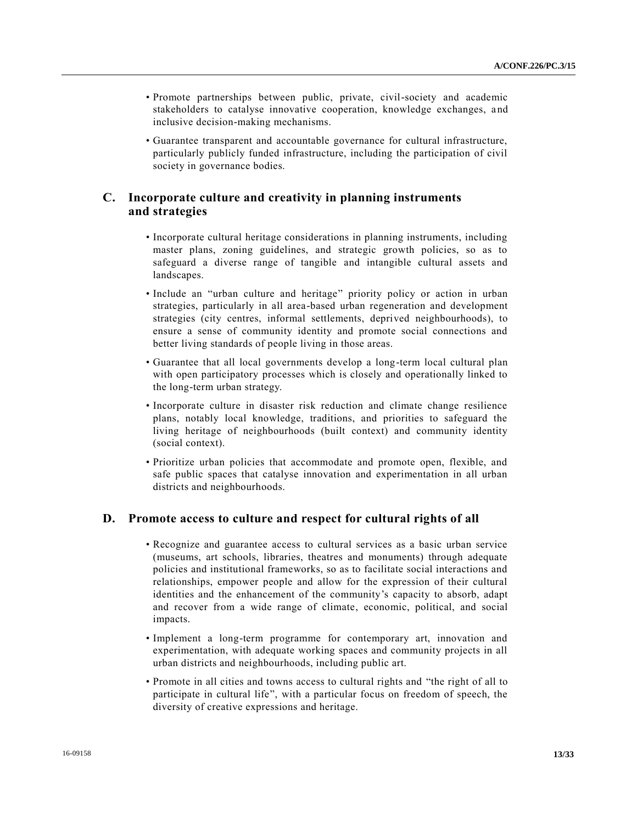- Promote partnerships between public, private, civil-society and academic stakeholders to catalyse innovative cooperation, knowledge exchanges, and inclusive decision-making mechanisms.
- Guarantee transparent and accountable governance for cultural infrastructure, particularly publicly funded infrastructure, including the participation of civil society in governance bodies.

### **C. Incorporate culture and creativity in planning instruments and strategies**

- Incorporate cultural heritage considerations in planning instruments, including master plans, zoning guidelines, and strategic growth policies, so as to safeguard a diverse range of tangible and intangible cultural assets and landscapes.
- Include an "urban culture and heritage" priority policy or action in urban strategies, particularly in all area-based urban regeneration and development strategies (city centres, informal settlements, deprived neighbourhoods), to ensure a sense of community identity and promote social connections and better living standards of people living in those areas.
- Guarantee that all local governments develop a long-term local cultural plan with open participatory processes which is closely and operationally linked to the long-term urban strategy.
- Incorporate culture in disaster risk reduction and climate change resilience plans, notably local knowledge, traditions, and priorities to safeguard the living heritage of neighbourhoods (built context) and community identity (social context).
- Prioritize urban policies that accommodate and promote open, flexible, and safe public spaces that catalyse innovation and experimentation in all urban districts and neighbourhoods.

#### **D. Promote access to culture and respect for cultural rights of all**

- Recognize and guarantee access to cultural services as a basic urban service (museums, art schools, libraries, theatres and monuments) through adequate policies and institutional frameworks, so as to facilitate social interactions and relationships, empower people and allow for the expression of their cultural identities and the enhancement of the community's capacity to absorb, adapt and recover from a wide range of climate, economic, political, and social impacts.
- Implement a long-term programme for contemporary art, innovation and experimentation, with adequate working spaces and community projects in all urban districts and neighbourhoods, including public art.
- Promote in all cities and towns access to cultural rights and "the right of all to participate in cultural life", with a particular focus on freedom of speech, the diversity of creative expressions and heritage.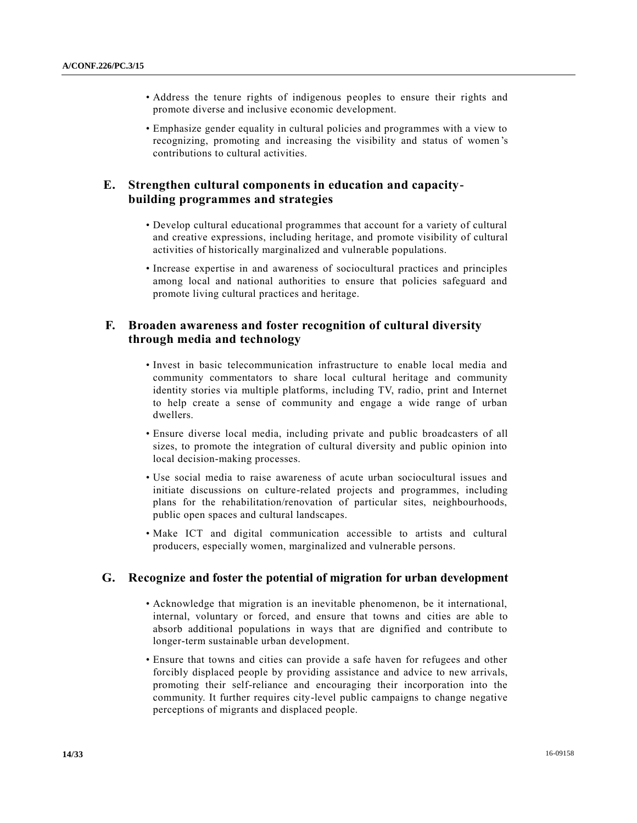- Address the tenure rights of indigenous peoples to ensure their rights and promote diverse and inclusive economic development.
- Emphasize gender equality in cultural policies and programmes with a view to recognizing, promoting and increasing the visibility and status of women 's contributions to cultural activities.

### **E. Strengthen cultural components in education and capacitybuilding programmes and strategies**

- Develop cultural educational programmes that account for a variety of cultural and creative expressions, including heritage, and promote visibility of cultural activities of historically marginalized and vulnerable populations.
- Increase expertise in and awareness of sociocultural practices and principles among local and national authorities to ensure that policies safeguard and promote living cultural practices and heritage.

### **F. Broaden awareness and foster recognition of cultural diversity through media and technology**

- Invest in basic telecommunication infrastructure to enable local media and community commentators to share local cultural heritage and community identity stories via multiple platforms, including TV, radio, print and Internet to help create a sense of community and engage a wide range of urban dwellers.
- Ensure diverse local media, including private and public broadcasters of all sizes, to promote the integration of cultural diversity and public opinion into local decision-making processes.
- Use social media to raise awareness of acute urban sociocultural issues and initiate discussions on culture-related projects and programmes, including plans for the rehabilitation/renovation of particular sites, neighbourhoods, public open spaces and cultural landscapes.
- Make ICT and digital communication accessible to artists and cultural producers, especially women, marginalized and vulnerable persons.

### **G. Recognize and foster the potential of migration for urban development**

- Acknowledge that migration is an inevitable phenomenon, be it international, internal, voluntary or forced, and ensure that towns and cities are able to absorb additional populations in ways that are dignified and contribute to longer-term sustainable urban development.
- Ensure that towns and cities can provide a safe haven for refugees and other forcibly displaced people by providing assistance and advice to new arrivals, promoting their self-reliance and encouraging their incorporation into the community. It further requires city-level public campaigns to change negative perceptions of migrants and displaced people.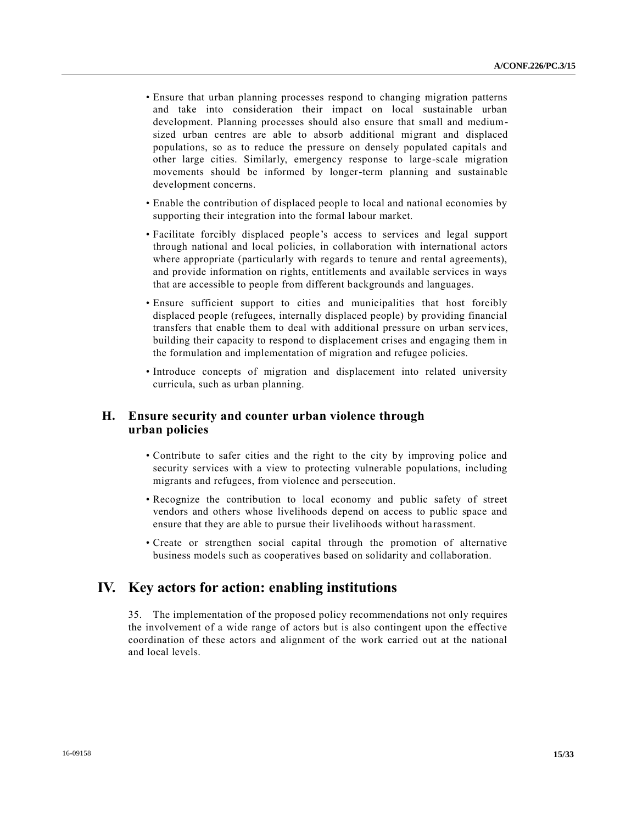- Ensure that urban planning processes respond to changing migration patterns and take into consideration their impact on local sustainable urban development. Planning processes should also ensure that small and mediumsized urban centres are able to absorb additional migrant and displaced populations, so as to reduce the pressure on densely populated capitals and other large cities. Similarly, emergency response to large-scale migration movements should be informed by longer-term planning and sustainable development concerns.
- Enable the contribution of displaced people to local and national economies by supporting their integration into the formal labour market.
- Facilitate forcibly displaced people's access to services and legal support through national and local policies, in collaboration with international actors where appropriate (particularly with regards to tenure and rental agreements), and provide information on rights, entitlements and available services in ways that are accessible to people from different backgrounds and languages.
- Ensure sufficient support to cities and municipalities that host forcibly displaced people (refugees, internally displaced people) by providing financial transfers that enable them to deal with additional pressure on urban services, building their capacity to respond to displacement crises and engaging them in the formulation and implementation of migration and refugee policies.
- Introduce concepts of migration and displacement into related university curricula, such as urban planning.

### **H. Ensure security and counter urban violence through urban policies**

- Contribute to safer cities and the right to the city by improving police and security services with a view to protecting vulnerable populations, including migrants and refugees, from violence and persecution.
- Recognize the contribution to local economy and public safety of street vendors and others whose livelihoods depend on access to public space and ensure that they are able to pursue their livelihoods without harassment.
- Create or strengthen social capital through the promotion of alternative business models such as cooperatives based on solidarity and collaboration.

## **IV. Key actors for action: enabling institutions**

35. The implementation of the proposed policy recommendations not only requires the involvement of a wide range of actors but is also contingent upon the effective coordination of these actors and alignment of the work carried out at the national and local levels.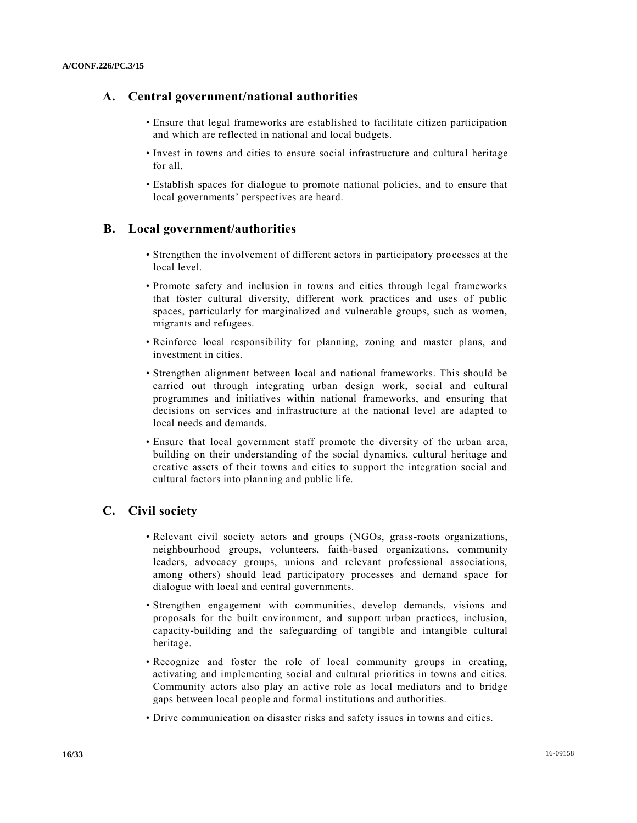### **A. Central government/national authorities**

- Ensure that legal frameworks are established to facilitate citizen participation and which are reflected in national and local budgets.
- Invest in towns and cities to ensure social infrastructure and cultural heritage for all.
- Establish spaces for dialogue to promote national policies, and to ensure that local governments' perspectives are heard.

### **B. Local government/authorities**

- Strengthen the involvement of different actors in participatory processes at the local level.
- Promote safety and inclusion in towns and cities through legal frameworks that foster cultural diversity, different work practices and uses of public spaces, particularly for marginalized and vulnerable groups, such as women, migrants and refugees.
- Reinforce local responsibility for planning, zoning and master plans, and investment in cities.
- Strengthen alignment between local and national frameworks. This should be carried out through integrating urban design work, social and cultural programmes and initiatives within national frameworks, and ensuring that decisions on services and infrastructure at the national level are adapted to local needs and demands.
- Ensure that local government staff promote the diversity of the urban area, building on their understanding of the social dynamics, cultural heritage and creative assets of their towns and cities to support the integration social and cultural factors into planning and public life.

### **C. Civil society**

- Relevant civil society actors and groups (NGOs, grass-roots organizations, neighbourhood groups, volunteers, faith-based organizations, community leaders, advocacy groups, unions and relevant professional associations, among others) should lead participatory processes and demand space for dialogue with local and central governments.
- Strengthen engagement with communities, develop demands, visions and proposals for the built environment, and support urban practices, inclusion, capacity-building and the safeguarding of tangible and intangible cultural heritage.
- Recognize and foster the role of local community groups in creating, activating and implementing social and cultural priorities in towns and cities. Community actors also play an active role as local mediators and to bridge gaps between local people and formal institutions and authorities.
- Drive communication on disaster risks and safety issues in towns and cities.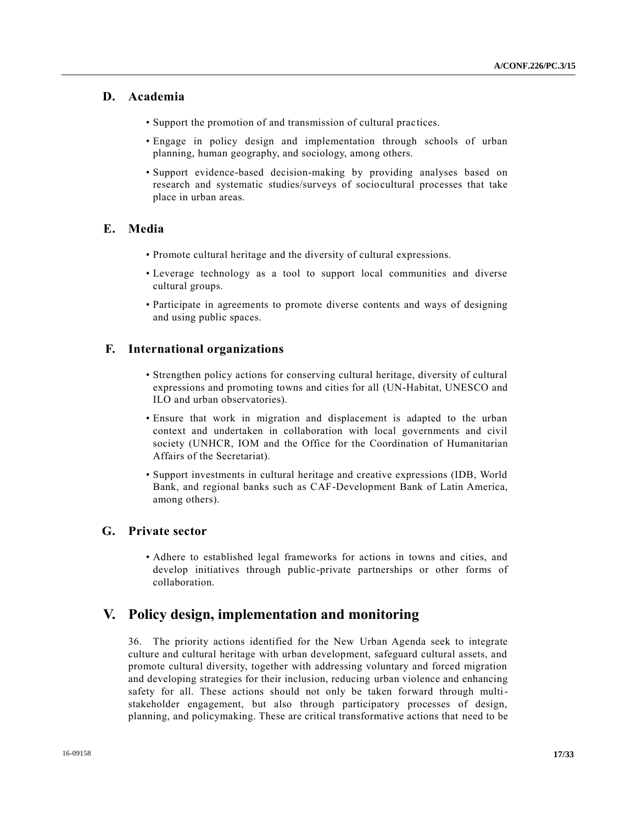### **D. Academia**

- Support the promotion of and transmission of cultural practices.
- Engage in policy design and implementation through schools of urban planning, human geography, and sociology, among others.
- Support evidence-based decision-making by providing analyses based on research and systematic studies/surveys of sociocultural processes that take place in urban areas.

#### **E. Media**

- Promote cultural heritage and the diversity of cultural expressions.
- Leverage technology as a tool to support local communities and diverse cultural groups.
- Participate in agreements to promote diverse contents and ways of designing and using public spaces.

#### **F. International organizations**

- Strengthen policy actions for conserving cultural heritage, diversity of cultural expressions and promoting towns and cities for all (UN-Habitat, UNESCO and ILO and urban observatories).
- Ensure that work in migration and displacement is adapted to the urban context and undertaken in collaboration with local governments and civil society (UNHCR, IOM and the Office for the Coordination of Humanitarian Affairs of the Secretariat).
- Support investments in cultural heritage and creative expressions (IDB, World Bank, and regional banks such as CAF-Development Bank of Latin America, among others).

#### **G. Private sector**

• Adhere to established legal frameworks for actions in towns and cities, and develop initiatives through public-private partnerships or other forms of collaboration.

### **V. Policy design, implementation and monitoring**

36. The priority actions identified for the New Urban Agenda seek to integrate culture and cultural heritage with urban development, safeguard cultural assets, and promote cultural diversity, together with addressing voluntary and forced migration and developing strategies for their inclusion, reducing urban violence and enhancing safety for all. These actions should not only be taken forward through multistakeholder engagement, but also through participatory processes of design, planning, and policymaking. These are critical transformative actions that need to be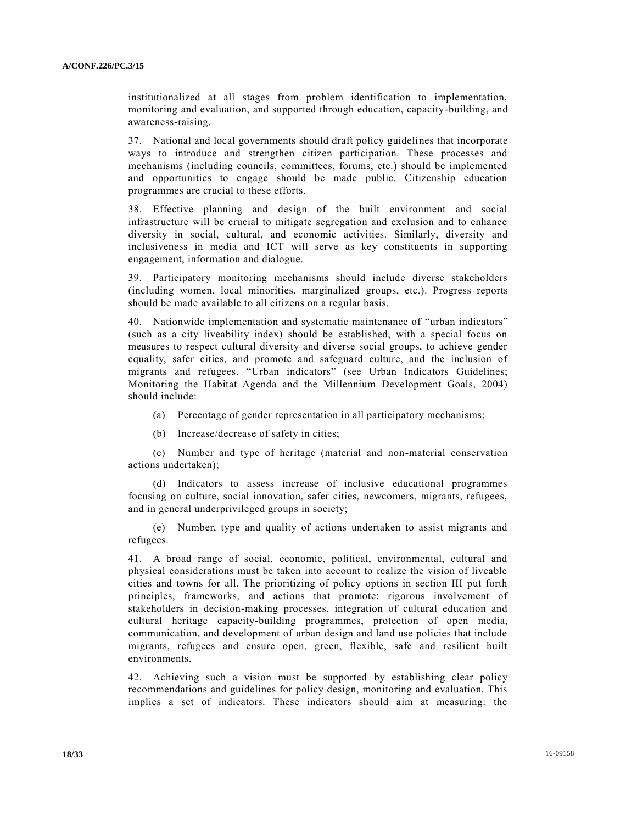institutionalized at all stages from problem identification to implementation, monitoring and evaluation, and supported through education, capacity-building, and awareness-raising.

37. National and local governments should draft policy guidelines that incorporate ways to introduce and strengthen citizen participation. These processes and mechanisms (including councils, committees, forums, etc.) should be implemented and opportunities to engage should be made public. Citizenship education programmes are crucial to these efforts.

38. Effective planning and design of the built environment and social infrastructure will be crucial to mitigate segregation and exclusion and to enhance diversity in social, cultural, and economic activities. Similarly, diversity and inclusiveness in media and ICT will serve as key constituents in supporting engagement, information and dialogue.

39. Participatory monitoring mechanisms should include diverse stakeholders (including women, local minorities, marginalized groups, etc.). Progress reports should be made available to all citizens on a regular basis.

40. Nationwide implementation and systematic maintenance of "urban indicators" (such as a city liveability index) should be established, with a special focus on measures to respect cultural diversity and diverse social groups, to achieve gender equality, safer cities, and promote and safeguard culture, and the inclusion of migrants and refugees. "Urban indicators" (see Urban Indicators Guidelines; Monitoring the Habitat Agenda and the Millennium Development Goals, 2004) should include:

- (a) Percentage of gender representation in all participatory mechanisms;
- (b) Increase/decrease of safety in cities;

(c) Number and type of heritage (material and non-material conservation actions undertaken);

(d) Indicators to assess increase of inclusive educational programmes focusing on culture, social innovation, safer cities, newcomers, migrants, refugees, and in general underprivileged groups in society;

(e) Number, type and quality of actions undertaken to assist migrants and refugees.

41. A broad range of social, economic, political, environmental, cultural and physical considerations must be taken into account to realize the vision of liveable cities and towns for all. The prioritizing of policy options in section III put forth principles, frameworks, and actions that promote: rigorous involvement of stakeholders in decision-making processes, integration of cultural education and cultural heritage capacity-building programmes, protection of open media, communication, and development of urban design and land use policies that include migrants, refugees and ensure open, green, flexible, safe and resilient built environments.

42. Achieving such a vision must be supported by establishing clear policy recommendations and guidelines for policy design, monitoring and evaluation. This implies a set of indicators. These indicators should aim at measuring: the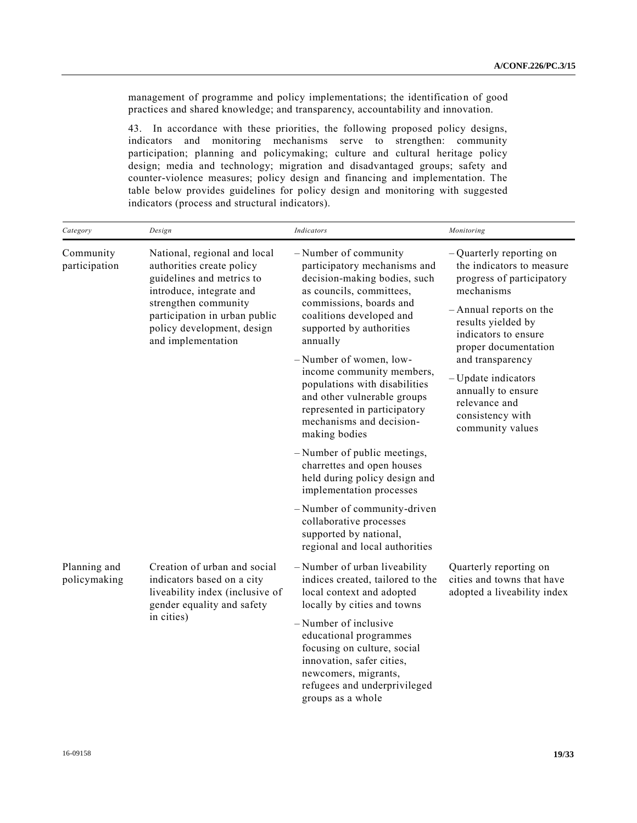management of programme and policy implementations; the identification of good practices and shared knowledge; and transparency, accountability and innovation.

43. In accordance with these priorities, the following proposed policy designs, indicators and monitoring mechanisms serve to strengthen: community participation; planning and policymaking; culture and cultural heritage policy design; media and technology; migration and disadvantaged groups; safety and counter-violence measures; policy design and financing and implementation. The table below provides guidelines for policy design and monitoring with suggested indicators (process and structural indicators).

| Category                     | Design                                                                                                                                                                                                                          | Indicators                                                                                                                                                                                                                                                                                                                                                                                                           | Monitoring                                                                                                                                                                                                                                                                                                                  |
|------------------------------|---------------------------------------------------------------------------------------------------------------------------------------------------------------------------------------------------------------------------------|----------------------------------------------------------------------------------------------------------------------------------------------------------------------------------------------------------------------------------------------------------------------------------------------------------------------------------------------------------------------------------------------------------------------|-----------------------------------------------------------------------------------------------------------------------------------------------------------------------------------------------------------------------------------------------------------------------------------------------------------------------------|
| Community<br>participation   | National, regional and local<br>authorities create policy<br>guidelines and metrics to<br>introduce, integrate and<br>strengthen community<br>participation in urban public<br>policy development, design<br>and implementation | - Number of community<br>participatory mechanisms and<br>decision-making bodies, such<br>as councils, committees,<br>commissions, boards and<br>coalitions developed and<br>supported by authorities<br>annually<br>-Number of women, low-<br>income community members,<br>populations with disabilities<br>and other vulnerable groups<br>represented in participatory<br>mechanisms and decision-<br>making bodies | - Quarterly reporting on<br>the indicators to measure<br>progress of participatory<br>mechanisms<br>- Annual reports on the<br>results yielded by<br>indicators to ensure<br>proper documentation<br>and transparency<br>- Update indicators<br>annually to ensure<br>relevance and<br>consistency with<br>community values |
|                              |                                                                                                                                                                                                                                 | - Number of public meetings,<br>charrettes and open houses<br>held during policy design and<br>implementation processes                                                                                                                                                                                                                                                                                              |                                                                                                                                                                                                                                                                                                                             |
|                              |                                                                                                                                                                                                                                 | -Number of community-driven<br>collaborative processes<br>supported by national,<br>regional and local authorities                                                                                                                                                                                                                                                                                                   |                                                                                                                                                                                                                                                                                                                             |
| Planning and<br>policymaking | Creation of urban and social<br>indicators based on a city<br>liveability index (inclusive of<br>gender equality and safety                                                                                                     | -Number of urban liveability<br>indices created, tailored to the<br>local context and adopted<br>locally by cities and towns                                                                                                                                                                                                                                                                                         | Quarterly reporting on<br>cities and towns that have<br>adopted a liveability index                                                                                                                                                                                                                                         |
|                              | in cities)                                                                                                                                                                                                                      | - Number of inclusive<br>educational programmes<br>focusing on culture, social<br>innovation, safer cities,<br>newcomers, migrants,<br>refugees and underprivileged<br>groups as a whole                                                                                                                                                                                                                             |                                                                                                                                                                                                                                                                                                                             |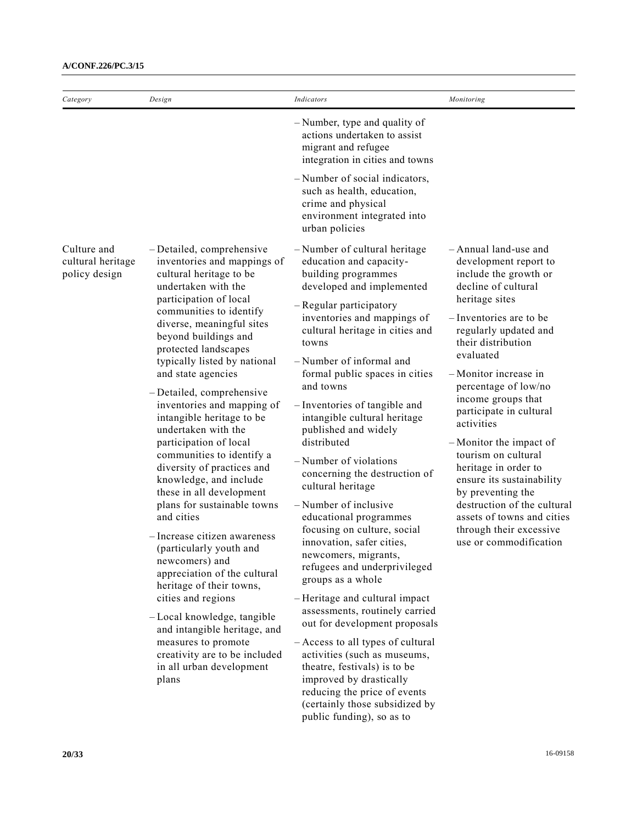| Category                                          | Design                                                                                                                                                                                                                                                                                                                                                                                                                                                                                                                                                                                                                                                                                                                                                                                                                                                                                                                            | <b>Indicators</b>                                                                                                                                                                                                                                                                                                                                                                                                                                                                                                                                                                                                                                                                                                                                                                                                                                                                                                                                                                                                  | Monitoring                                                                                                                                                                                                                                                                                                                                                                                                                                                                                                                                                            |
|---------------------------------------------------|-----------------------------------------------------------------------------------------------------------------------------------------------------------------------------------------------------------------------------------------------------------------------------------------------------------------------------------------------------------------------------------------------------------------------------------------------------------------------------------------------------------------------------------------------------------------------------------------------------------------------------------------------------------------------------------------------------------------------------------------------------------------------------------------------------------------------------------------------------------------------------------------------------------------------------------|--------------------------------------------------------------------------------------------------------------------------------------------------------------------------------------------------------------------------------------------------------------------------------------------------------------------------------------------------------------------------------------------------------------------------------------------------------------------------------------------------------------------------------------------------------------------------------------------------------------------------------------------------------------------------------------------------------------------------------------------------------------------------------------------------------------------------------------------------------------------------------------------------------------------------------------------------------------------------------------------------------------------|-----------------------------------------------------------------------------------------------------------------------------------------------------------------------------------------------------------------------------------------------------------------------------------------------------------------------------------------------------------------------------------------------------------------------------------------------------------------------------------------------------------------------------------------------------------------------|
|                                                   |                                                                                                                                                                                                                                                                                                                                                                                                                                                                                                                                                                                                                                                                                                                                                                                                                                                                                                                                   | - Number, type and quality of<br>actions undertaken to assist<br>migrant and refugee<br>integration in cities and towns                                                                                                                                                                                                                                                                                                                                                                                                                                                                                                                                                                                                                                                                                                                                                                                                                                                                                            |                                                                                                                                                                                                                                                                                                                                                                                                                                                                                                                                                                       |
|                                                   |                                                                                                                                                                                                                                                                                                                                                                                                                                                                                                                                                                                                                                                                                                                                                                                                                                                                                                                                   | -Number of social indicators,<br>such as health, education,<br>crime and physical<br>environment integrated into<br>urban policies                                                                                                                                                                                                                                                                                                                                                                                                                                                                                                                                                                                                                                                                                                                                                                                                                                                                                 |                                                                                                                                                                                                                                                                                                                                                                                                                                                                                                                                                                       |
| Culture and<br>cultural heritage<br>policy design | -Detailed, comprehensive<br>inventories and mappings of<br>cultural heritage to be<br>undertaken with the<br>participation of local<br>communities to identify<br>diverse, meaningful sites<br>beyond buildings and<br>protected landscapes<br>typically listed by national<br>and state agencies<br>-Detailed, comprehensive<br>inventories and mapping of<br>intangible heritage to be<br>undertaken with the<br>participation of local<br>communities to identify a<br>diversity of practices and<br>knowledge, and include<br>these in all development<br>plans for sustainable towns<br>and cities<br>- Increase citizen awareness<br>(particularly youth and<br>newcomers) and<br>appreciation of the cultural<br>heritage of their towns,<br>cities and regions<br>-Local knowledge, tangible<br>and intangible heritage, and<br>measures to promote<br>creativity are to be included<br>in all urban development<br>plans | -Number of cultural heritage<br>education and capacity-<br>building programmes<br>developed and implemented<br>- Regular participatory<br>inventories and mappings of<br>cultural heritage in cities and<br>towns<br>-Number of informal and<br>formal public spaces in cities<br>and towns<br>- Inventories of tangible and<br>intangible cultural heritage<br>published and widely<br>distributed<br>-Number of violations<br>concerning the destruction of<br>cultural heritage<br>- Number of inclusive<br>educational programmes<br>focusing on culture, social<br>innovation, safer cities,<br>newcomers, migrants,<br>refugees and underprivileged<br>groups as a whole<br>- Heritage and cultural impact<br>assessments, routinely carried<br>out for development proposals<br>- Access to all types of cultural<br>activities (such as museums,<br>theatre, festivals) is to be<br>improved by drastically<br>reducing the price of events<br>(certainly those subsidized by<br>public funding), so as to | - Annual land-use and<br>development report to<br>include the growth or<br>decline of cultural<br>heritage sites<br>- Inventories are to be<br>regularly updated and<br>their distribution<br>evaluated<br>- Monitor increase in<br>percentage of low/no<br>income groups that<br>participate in cultural<br>activities<br>- Monitor the impact of<br>tourism on cultural<br>heritage in order to<br>ensure its sustainability<br>by preventing the<br>destruction of the cultural<br>assets of towns and cities<br>through their excessive<br>use or commodification |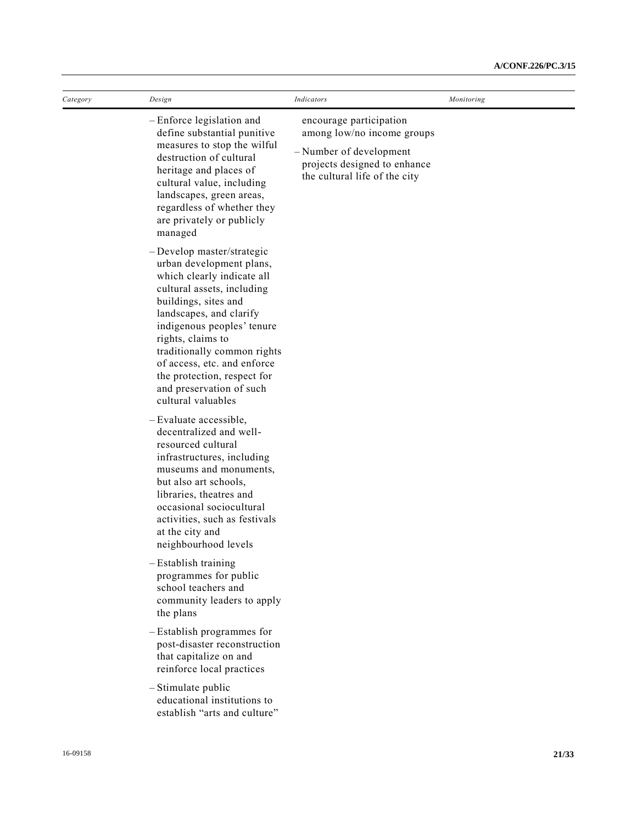| Category | Design                                                                                                                                                                                                                                                                                                                                                                 | <b>Indicators</b>                                                                                                                                | Monitoring |
|----------|------------------------------------------------------------------------------------------------------------------------------------------------------------------------------------------------------------------------------------------------------------------------------------------------------------------------------------------------------------------------|--------------------------------------------------------------------------------------------------------------------------------------------------|------------|
|          | -Enforce legislation and<br>define substantial punitive<br>measures to stop the wilful<br>destruction of cultural<br>heritage and places of<br>cultural value, including<br>landscapes, green areas,<br>regardless of whether they<br>are privately or publicly<br>managed                                                                                             | encourage participation<br>among low/no income groups<br>-Number of development<br>projects designed to enhance<br>the cultural life of the city |            |
|          | -Develop master/strategic<br>urban development plans,<br>which clearly indicate all<br>cultural assets, including<br>buildings, sites and<br>landscapes, and clarify<br>indigenous peoples' tenure<br>rights, claims to<br>traditionally common rights<br>of access, etc. and enforce<br>the protection, respect for<br>and preservation of such<br>cultural valuables |                                                                                                                                                  |            |
|          | - Evaluate accessible,<br>decentralized and well-<br>resourced cultural<br>infrastructures, including<br>museums and monuments,<br>but also art schools,<br>libraries, theatres and<br>occasional sociocultural<br>activities, such as festivals<br>at the city and<br>neighbourhood levels                                                                            |                                                                                                                                                  |            |
|          | -Establish training<br>programmes for public<br>school teachers and<br>community leaders to apply<br>the plans                                                                                                                                                                                                                                                         |                                                                                                                                                  |            |
|          | - Establish programmes for<br>post-disaster reconstruction<br>that capitalize on and<br>reinforce local practices                                                                                                                                                                                                                                                      |                                                                                                                                                  |            |
|          | - Stimulate public<br>educational institutions to<br>establish "arts and culture"                                                                                                                                                                                                                                                                                      |                                                                                                                                                  |            |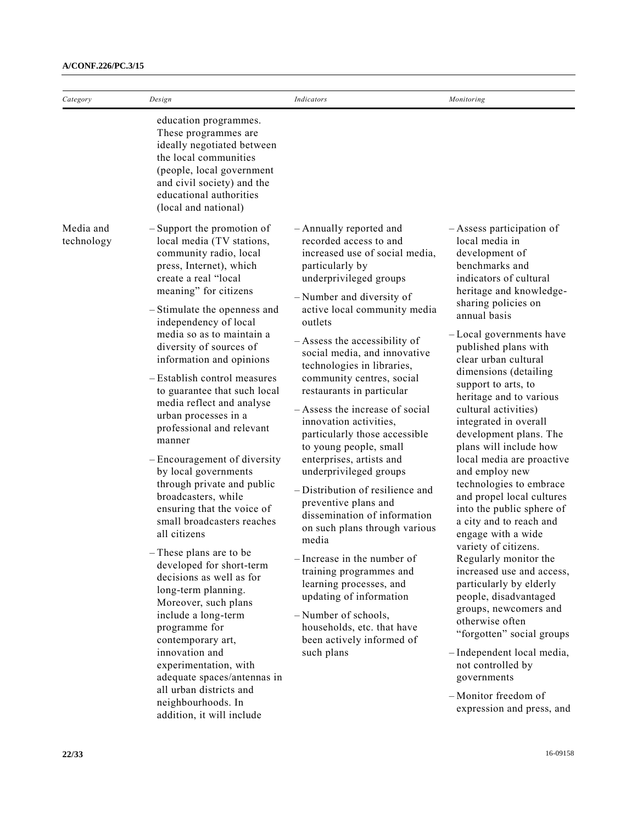| Category                | Design                                                                                                                                                                                                                                                                                                                                                                                                                                                                                                                                                                                                                                                                                                                                                                                                                                                                                                                                                                                                                 | <b>Indicators</b>                                                                                                                                                                                                                                                                                                                                                                                                                                                                                                                                                                                                                                                                                                                                                                                                                                                                                    | Monitoring                                                                                                                                                                                                                                                                                                                                                                                                                                                                                                                                                                                                                                                                                                                                                                                                                                                                                                                                                     |
|-------------------------|------------------------------------------------------------------------------------------------------------------------------------------------------------------------------------------------------------------------------------------------------------------------------------------------------------------------------------------------------------------------------------------------------------------------------------------------------------------------------------------------------------------------------------------------------------------------------------------------------------------------------------------------------------------------------------------------------------------------------------------------------------------------------------------------------------------------------------------------------------------------------------------------------------------------------------------------------------------------------------------------------------------------|------------------------------------------------------------------------------------------------------------------------------------------------------------------------------------------------------------------------------------------------------------------------------------------------------------------------------------------------------------------------------------------------------------------------------------------------------------------------------------------------------------------------------------------------------------------------------------------------------------------------------------------------------------------------------------------------------------------------------------------------------------------------------------------------------------------------------------------------------------------------------------------------------|----------------------------------------------------------------------------------------------------------------------------------------------------------------------------------------------------------------------------------------------------------------------------------------------------------------------------------------------------------------------------------------------------------------------------------------------------------------------------------------------------------------------------------------------------------------------------------------------------------------------------------------------------------------------------------------------------------------------------------------------------------------------------------------------------------------------------------------------------------------------------------------------------------------------------------------------------------------|
|                         | education programmes.<br>These programmes are<br>ideally negotiated between<br>the local communities<br>(people, local government<br>and civil society) and the<br>educational authorities<br>(local and national)                                                                                                                                                                                                                                                                                                                                                                                                                                                                                                                                                                                                                                                                                                                                                                                                     |                                                                                                                                                                                                                                                                                                                                                                                                                                                                                                                                                                                                                                                                                                                                                                                                                                                                                                      |                                                                                                                                                                                                                                                                                                                                                                                                                                                                                                                                                                                                                                                                                                                                                                                                                                                                                                                                                                |
| Media and<br>technology | - Support the promotion of<br>local media (TV stations,<br>community radio, local<br>press, Internet), which<br>create a real "local<br>meaning" for citizens<br>- Stimulate the openness and<br>independency of local<br>media so as to maintain a<br>diversity of sources of<br>information and opinions<br>- Establish control measures<br>to guarantee that such local<br>media reflect and analyse<br>urban processes in a<br>professional and relevant<br>manner<br>- Encouragement of diversity<br>by local governments<br>through private and public<br>broadcasters, while<br>ensuring that the voice of<br>small broadcasters reaches<br>all citizens<br>- These plans are to be<br>developed for short-term<br>decisions as well as for<br>long-term planning.<br>Moreover, such plans<br>include a long-term<br>programme for<br>contemporary art,<br>innovation and<br>experimentation, with<br>adequate spaces/antennas in<br>all urban districts and<br>neighbourhoods. In<br>addition, it will include | - Annually reported and<br>recorded access to and<br>increased use of social media,<br>particularly by<br>underprivileged groups<br>-Number and diversity of<br>active local community media<br>outlets<br>- Assess the accessibility of<br>social media, and innovative<br>technologies in libraries,<br>community centres, social<br>restaurants in particular<br>- Assess the increase of social<br>innovation activities,<br>particularly those accessible<br>to young people, small<br>enterprises, artists and<br>underprivileged groups<br>- Distribution of resilience and<br>preventive plans and<br>dissemination of information<br>on such plans through various<br>media<br>- Increase in the number of<br>training programmes and<br>learning processes, and<br>updating of information<br>-Number of schools,<br>households, etc. that have<br>been actively informed of<br>such plans | - Assess participation of<br>local media in<br>development of<br>benchmarks and<br>indicators of cultural<br>heritage and knowledge-<br>sharing policies on<br>annual basis<br>- Local governments have<br>published plans with<br>clear urban cultural<br>dimensions (detailing<br>support to arts, to<br>heritage and to various<br>cultural activities)<br>integrated in overall<br>development plans. The<br>plans will include how<br>local media are proactive<br>and employ new<br>technologies to embrace<br>and propel local cultures<br>into the public sphere of<br>a city and to reach and<br>engage with a wide<br>variety of citizens.<br>Regularly monitor the<br>increased use and access,<br>particularly by elderly<br>people, disadvantaged<br>groups, newcomers and<br>otherwise often<br>"forgotten" social groups<br>- Independent local media,<br>not controlled by<br>governments<br>- Monitor freedom of<br>expression and press, and |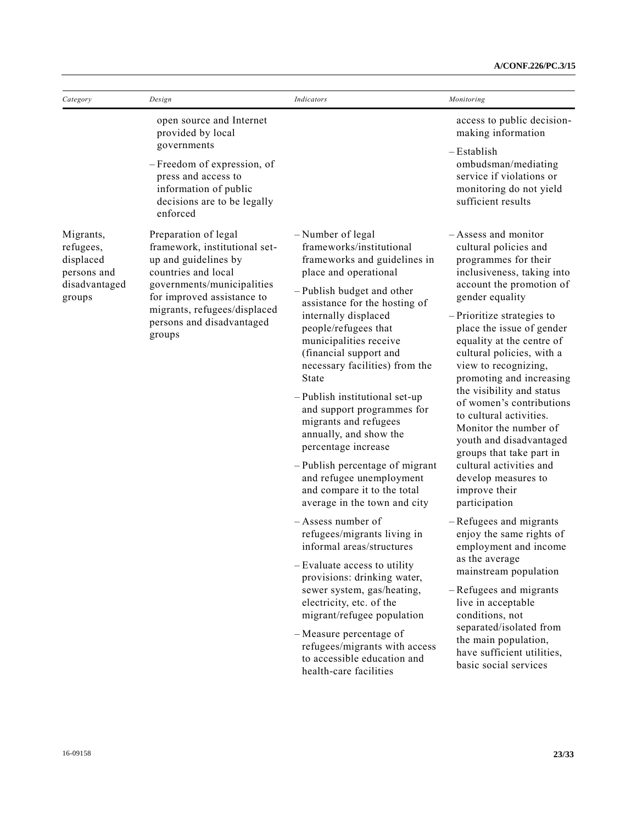| Category                                                                      | Design                                                                                                                                                                                                                                  | Indicators                                                                                                                                                                                                                                                                                                                                                                                                                                                                                                                                                                                                                                                                                                                                                                                                                                                                                                                                                     | Monitoring                                                                                                                                                                                                                                                                                                                                                                                                                                                                                                                                                                                                                                                                                                                                                                                                                                                                                   |
|-------------------------------------------------------------------------------|-----------------------------------------------------------------------------------------------------------------------------------------------------------------------------------------------------------------------------------------|----------------------------------------------------------------------------------------------------------------------------------------------------------------------------------------------------------------------------------------------------------------------------------------------------------------------------------------------------------------------------------------------------------------------------------------------------------------------------------------------------------------------------------------------------------------------------------------------------------------------------------------------------------------------------------------------------------------------------------------------------------------------------------------------------------------------------------------------------------------------------------------------------------------------------------------------------------------|----------------------------------------------------------------------------------------------------------------------------------------------------------------------------------------------------------------------------------------------------------------------------------------------------------------------------------------------------------------------------------------------------------------------------------------------------------------------------------------------------------------------------------------------------------------------------------------------------------------------------------------------------------------------------------------------------------------------------------------------------------------------------------------------------------------------------------------------------------------------------------------------|
|                                                                               | open source and Internet<br>provided by local<br>governments                                                                                                                                                                            |                                                                                                                                                                                                                                                                                                                                                                                                                                                                                                                                                                                                                                                                                                                                                                                                                                                                                                                                                                | access to public decision-<br>making information                                                                                                                                                                                                                                                                                                                                                                                                                                                                                                                                                                                                                                                                                                                                                                                                                                             |
|                                                                               | -Freedom of expression, of<br>press and access to<br>information of public<br>decisions are to be legally<br>enforced                                                                                                                   |                                                                                                                                                                                                                                                                                                                                                                                                                                                                                                                                                                                                                                                                                                                                                                                                                                                                                                                                                                | - Establish<br>ombudsman/mediating<br>service if violations or<br>monitoring do not yield<br>sufficient results                                                                                                                                                                                                                                                                                                                                                                                                                                                                                                                                                                                                                                                                                                                                                                              |
| Migrants,<br>refugees,<br>displaced<br>persons and<br>disadvantaged<br>groups | Preparation of legal<br>framework, institutional set-<br>up and guidelines by<br>countries and local<br>governments/municipalities<br>for improved assistance to<br>migrants, refugees/displaced<br>persons and disadvantaged<br>groups | -Number of legal<br>frameworks/institutional<br>frameworks and guidelines in<br>place and operational<br>-Publish budget and other<br>assistance for the hosting of<br>internally displaced<br>people/refugees that<br>municipalities receive<br>(financial support and<br>necessary facilities) from the<br><b>State</b><br>- Publish institutional set-up<br>and support programmes for<br>migrants and refugees<br>annually, and show the<br>percentage increase<br>- Publish percentage of migrant<br>and refugee unemployment<br>and compare it to the total<br>average in the town and city<br>- Assess number of<br>refugees/migrants living in<br>informal areas/structures<br>- Evaluate access to utility<br>provisions: drinking water,<br>sewer system, gas/heating,<br>electricity, etc. of the<br>migrant/refugee population<br>-Measure percentage of<br>refugees/migrants with access<br>to accessible education and<br>health-care facilities | - Assess and monitor<br>cultural policies and<br>programmes for their<br>inclusiveness, taking into<br>account the promotion of<br>gender equality<br>- Prioritize strategies to<br>place the issue of gender<br>equality at the centre of<br>cultural policies, with a<br>view to recognizing,<br>promoting and increasing<br>the visibility and status<br>of women's contributions<br>to cultural activities.<br>Monitor the number of<br>youth and disadvantaged<br>groups that take part in<br>cultural activities and<br>develop measures to<br>improve their<br>participation<br>- Refugees and migrants<br>enjoy the same rights of<br>employment and income<br>as the average<br>mainstream population<br>- Refugees and migrants<br>live in acceptable<br>conditions, not<br>separated/isolated from<br>the main population,<br>have sufficient utilities,<br>basic social services |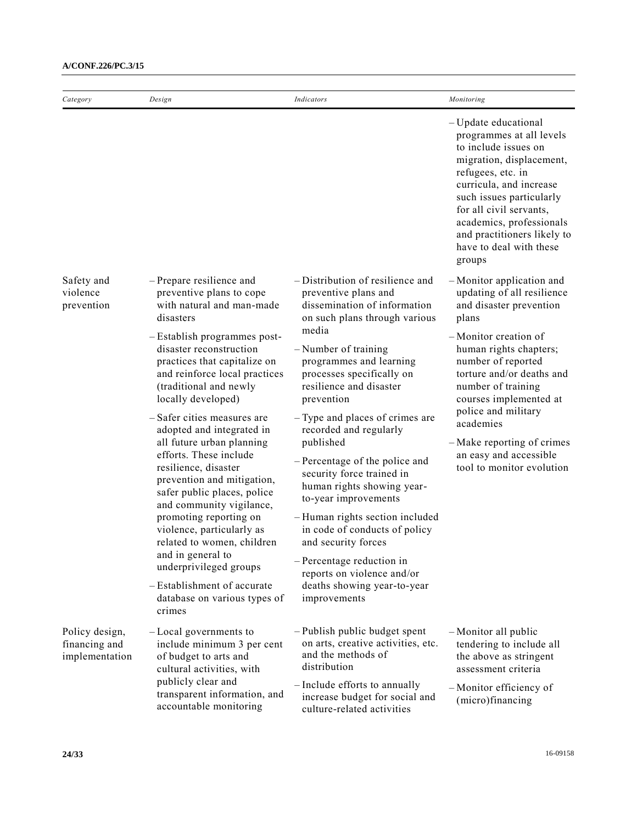| Safety and<br>violence<br>prevention                                              |                                                                                                                                                                                                                                                                                                                                                                                                                                                                                                                                                                                                                                                  |                                                                                                                                                                                                                                                                                                                                                                                                                                                                                                                                                                                  | - Update educational<br>programmes at all levels<br>to include issues on<br>migration, displacement,<br>refugees, etc. in<br>curricula, and increase<br>such issues particularly<br>for all civil servants,<br>academics, professionals<br>and practitioners likely to<br>have to deal with these                                                                          |
|-----------------------------------------------------------------------------------|--------------------------------------------------------------------------------------------------------------------------------------------------------------------------------------------------------------------------------------------------------------------------------------------------------------------------------------------------------------------------------------------------------------------------------------------------------------------------------------------------------------------------------------------------------------------------------------------------------------------------------------------------|----------------------------------------------------------------------------------------------------------------------------------------------------------------------------------------------------------------------------------------------------------------------------------------------------------------------------------------------------------------------------------------------------------------------------------------------------------------------------------------------------------------------------------------------------------------------------------|----------------------------------------------------------------------------------------------------------------------------------------------------------------------------------------------------------------------------------------------------------------------------------------------------------------------------------------------------------------------------|
|                                                                                   |                                                                                                                                                                                                                                                                                                                                                                                                                                                                                                                                                                                                                                                  |                                                                                                                                                                                                                                                                                                                                                                                                                                                                                                                                                                                  | groups                                                                                                                                                                                                                                                                                                                                                                     |
|                                                                                   | - Prepare resilience and<br>preventive plans to cope<br>with natural and man-made<br>disasters<br>-Establish programmes post-<br>disaster reconstruction<br>practices that capitalize on<br>and reinforce local practices<br>(traditional and newly<br>locally developed)<br>-Safer cities measures are<br>adopted and integrated in<br>all future urban planning<br>efforts. These include<br>resilience, disaster<br>prevention and mitigation,<br>safer public places, police<br>and community vigilance,<br>promoting reporting on<br>violence, particularly as<br>related to women, children<br>and in general to<br>underprivileged groups | - Distribution of resilience and<br>preventive plans and<br>dissemination of information<br>on such plans through various<br>media<br>-Number of training<br>programmes and learning<br>processes specifically on<br>resilience and disaster<br>prevention<br>- Type and places of crimes are<br>recorded and regularly<br>published<br>-Percentage of the police and<br>security force trained in<br>human rights showing year-<br>to-year improvements<br>- Human rights section included<br>in code of conducts of policy<br>and security forces<br>- Percentage reduction in | - Monitor application and<br>updating of all resilience<br>and disaster prevention<br>plans<br>- Monitor creation of<br>human rights chapters;<br>number of reported<br>torture and/or deaths and<br>number of training<br>courses implemented at<br>police and military<br>academies<br>- Make reporting of crimes<br>an easy and accessible<br>tool to monitor evolution |
|                                                                                   | - Establishment of accurate<br>database on various types of<br>crimes                                                                                                                                                                                                                                                                                                                                                                                                                                                                                                                                                                            | reports on violence and/or<br>deaths showing year-to-year<br>improvements                                                                                                                                                                                                                                                                                                                                                                                                                                                                                                        |                                                                                                                                                                                                                                                                                                                                                                            |
| Policy design,<br>financing and<br>implementation<br>transparent information, and | -Local governments to<br>include minimum 3 per cent<br>of budget to arts and<br>cultural activities, with<br>publicly clear and                                                                                                                                                                                                                                                                                                                                                                                                                                                                                                                  | - Publish public budget spent<br>on arts, creative activities, etc.<br>and the methods of<br>distribution<br>- Include efforts to annually<br>increase budget for social and                                                                                                                                                                                                                                                                                                                                                                                                     | - Monitor all public<br>tendering to include all<br>the above as stringent<br>assessment criteria<br>- Monitor efficiency of                                                                                                                                                                                                                                               |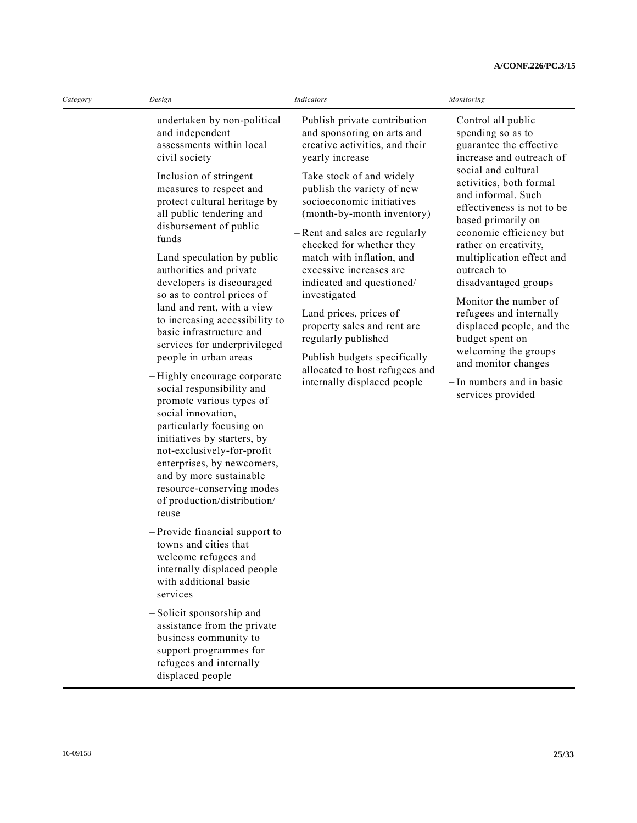| Category | Design                                                                                                                                                                                                                                                                                                                                                                                                                                                                                                                                                                                                                                                                                                                                                             | Indicators                                                                                                                                                                                                                                                                                                                                                                                                                                                                                                                                               | Monitoring                                                                                                                                                                                                                                                                                                                                                                |
|----------|--------------------------------------------------------------------------------------------------------------------------------------------------------------------------------------------------------------------------------------------------------------------------------------------------------------------------------------------------------------------------------------------------------------------------------------------------------------------------------------------------------------------------------------------------------------------------------------------------------------------------------------------------------------------------------------------------------------------------------------------------------------------|----------------------------------------------------------------------------------------------------------------------------------------------------------------------------------------------------------------------------------------------------------------------------------------------------------------------------------------------------------------------------------------------------------------------------------------------------------------------------------------------------------------------------------------------------------|---------------------------------------------------------------------------------------------------------------------------------------------------------------------------------------------------------------------------------------------------------------------------------------------------------------------------------------------------------------------------|
|          | undertaken by non-political<br>and independent<br>assessments within local<br>civil society                                                                                                                                                                                                                                                                                                                                                                                                                                                                                                                                                                                                                                                                        | - Publish private contribution<br>and sponsoring on arts and<br>creative activities, and their<br>yearly increase                                                                                                                                                                                                                                                                                                                                                                                                                                        | - Control all public<br>spending so as to<br>guarantee the effective<br>increase and outreach of                                                                                                                                                                                                                                                                          |
|          | - Inclusion of stringent<br>measures to respect and<br>protect cultural heritage by<br>all public tendering and<br>disbursement of public<br>funds<br>- Land speculation by public<br>authorities and private<br>developers is discouraged<br>so as to control prices of<br>land and rent, with a view<br>to increasing accessibility to<br>basic infrastructure and<br>services for underprivileged<br>people in urban areas<br>-Highly encourage corporate<br>social responsibility and<br>promote various types of<br>social innovation,<br>particularly focusing on<br>initiatives by starters, by<br>not-exclusively-for-profit<br>enterprises, by newcomers,<br>and by more sustainable<br>resource-conserving modes<br>of production/distribution/<br>reuse | social and cultural<br>- Take stock of and widely<br>publish the variety of new<br>socioeconomic initiatives<br>(month-by-month inventory)<br>- Rent and sales are regularly<br>checked for whether they<br>match with inflation, and<br>outreach to<br>excessive increases are<br>indicated and questioned/<br>investigated<br>-Land prices, prices of<br>property sales and rent are<br>regularly published<br>budget spent on<br>- Publish budgets specifically<br>allocated to host refugees and<br>internally displaced people<br>services provided | activities, both formal<br>and informal. Such<br>effectiveness is not to be<br>based primarily on<br>economic efficiency but<br>rather on creativity,<br>multiplication effect and<br>disadvantaged groups<br>- Monitor the number of<br>refugees and internally<br>displaced people, and the<br>welcoming the groups<br>and monitor changes<br>- In numbers and in basic |
|          | - Provide financial support to<br>towns and cities that<br>welcome refugees and<br>internally displaced people<br>with additional basic<br>services                                                                                                                                                                                                                                                                                                                                                                                                                                                                                                                                                                                                                |                                                                                                                                                                                                                                                                                                                                                                                                                                                                                                                                                          |                                                                                                                                                                                                                                                                                                                                                                           |
|          | -Solicit sponsorship and<br>assistance from the private<br>business community to<br>support programmes for<br>refugees and internally<br>displaced people                                                                                                                                                                                                                                                                                                                                                                                                                                                                                                                                                                                                          |                                                                                                                                                                                                                                                                                                                                                                                                                                                                                                                                                          |                                                                                                                                                                                                                                                                                                                                                                           |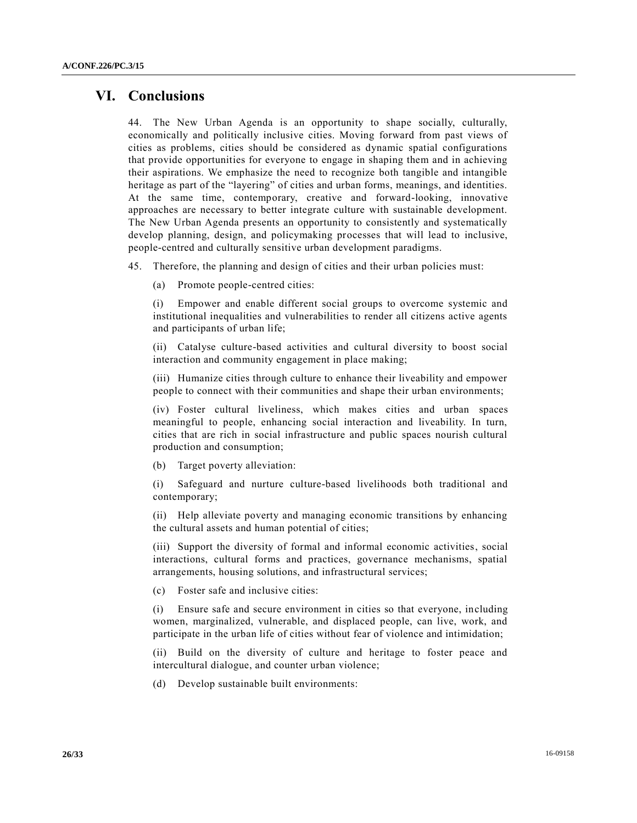### **VI. Conclusions**

44. The New Urban Agenda is an opportunity to shape socially, culturally, economically and politically inclusive cities. Moving forward from past views of cities as problems, cities should be considered as dynamic spatial configurations that provide opportunities for everyone to engage in shaping them and in achieving their aspirations. We emphasize the need to recognize both tangible and intangible heritage as part of the "layering" of cities and urban forms, meanings, and identities. At the same time, contemporary, creative and forward-looking, innovative approaches are necessary to better integrate culture with sustainable development. The New Urban Agenda presents an opportunity to consistently and systematically develop planning, design, and policymaking processes that will lead to inclusive, people-centred and culturally sensitive urban development paradigms.

45. Therefore, the planning and design of cities and their urban policies must:

(a) Promote people-centred cities:

(i) Empower and enable different social groups to overcome systemic and institutional inequalities and vulnerabilities to render all citizens active agents and participants of urban life;

(ii) Catalyse culture-based activities and cultural diversity to boost social interaction and community engagement in place making;

(iii) Humanize cities through culture to enhance their liveability and empower people to connect with their communities and shape their urban environments;

(iv) Foster cultural liveliness, which makes cities and urban spaces meaningful to people, enhancing social interaction and liveability. In turn, cities that are rich in social infrastructure and public spaces nourish cultural production and consumption;

(b) Target poverty alleviation:

(i) Safeguard and nurture culture-based livelihoods both traditional and contemporary;

(ii) Help alleviate poverty and managing economic transitions by enhancing the cultural assets and human potential of cities;

(iii) Support the diversity of formal and informal economic activities, social interactions, cultural forms and practices, governance mechanisms, spatial arrangements, housing solutions, and infrastructural services;

(c) Foster safe and inclusive cities:

(i) Ensure safe and secure environment in cities so that everyone, including women, marginalized, vulnerable, and displaced people, can live, work, and participate in the urban life of cities without fear of violence and intimidation;

(ii) Build on the diversity of culture and heritage to foster peace and intercultural dialogue, and counter urban violence;

(d) Develop sustainable built environments: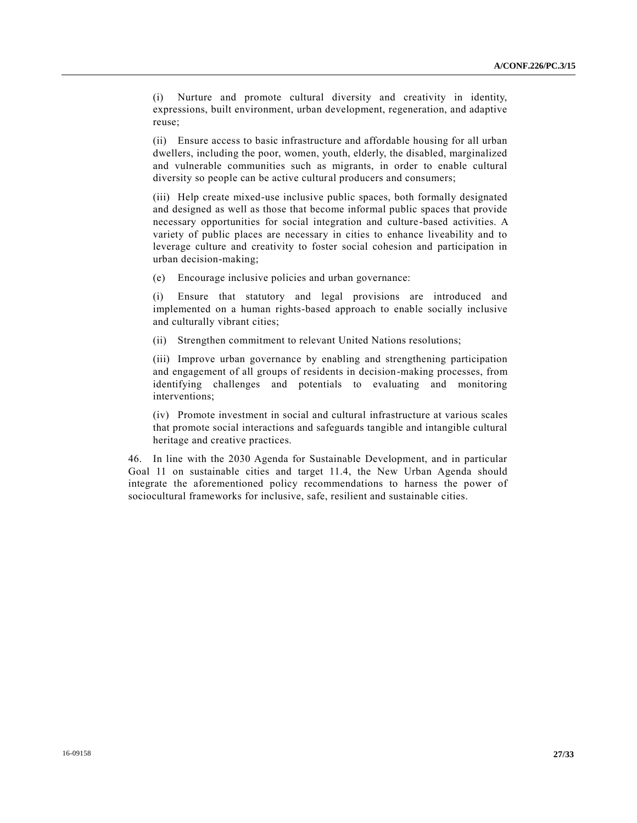(i) Nurture and promote cultural diversity and creativity in identity, expressions, built environment, urban development, regeneration, and adaptive reuse;

(ii) Ensure access to basic infrastructure and affordable housing for all urban dwellers, including the poor, women, youth, elderly, the disabled, marginalized and vulnerable communities such as migrants, in order to enable cultural diversity so people can be active cultural producers and consumers;

(iii) Help create mixed-use inclusive public spaces, both formally designated and designed as well as those that become informal public spaces that provide necessary opportunities for social integration and culture-based activities. A variety of public places are necessary in cities to enhance liveability and to leverage culture and creativity to foster social cohesion and participation in urban decision-making;

(e) Encourage inclusive policies and urban governance:

(i) Ensure that statutory and legal provisions are introduced and implemented on a human rights-based approach to enable socially inclusive and culturally vibrant cities;

(ii) Strengthen commitment to relevant United Nations resolutions;

(iii) Improve urban governance by enabling and strengthening participation and engagement of all groups of residents in decision-making processes, from identifying challenges and potentials to evaluating and monitoring interventions;

(iv) Promote investment in social and cultural infrastructure at various scales that promote social interactions and safeguards tangible and intangible cultural heritage and creative practices.

46. In line with the 2030 Agenda for Sustainable Development, and in particular Goal 11 on sustainable cities and target 11.4, the New Urban Agenda should integrate the aforementioned policy recommendations to harness the power of sociocultural frameworks for inclusive, safe, resilient and sustainable cities.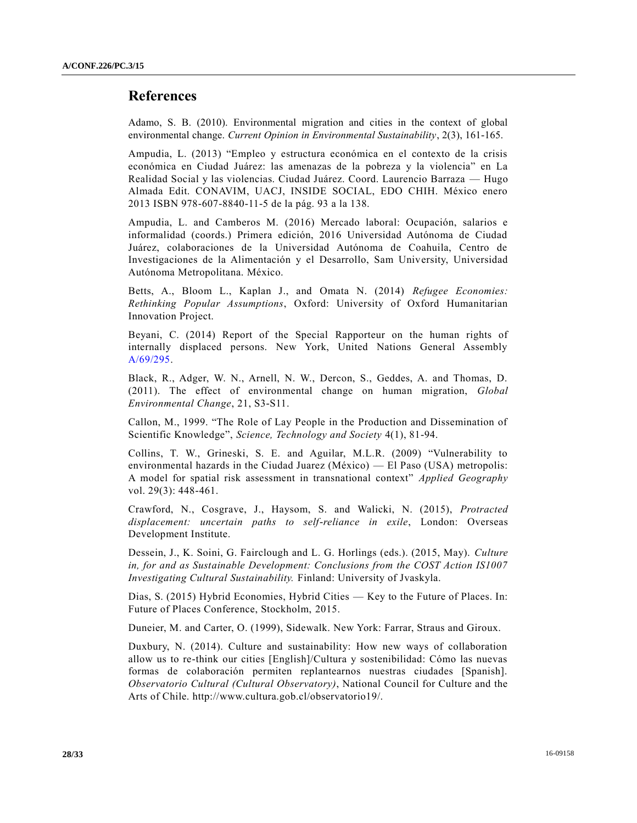### **References**

Adamo, S. B. (2010). Environmental migration and cities in the context of global environmental change. *Current Opinion in Environmental Sustainability*, 2(3), 161-165.

Ampudia, L. (2013) "Empleo y estructura económica en el contexto de la crisis económica en Ciudad Juárez: las amenazas de la pobreza y la violencia" en La Realidad Social y las violencias. Ciudad Juárez. Coord. Laurencio Barraza — Hugo Almada Edit. CONAVIM, UACJ, INSIDE SOCIAL, EDO CHIH. México enero 2013 ISBN 978-607-8840-11-5 de la pág. 93 a la 138.

Ampudia, L. and Camberos M. (2016) Mercado laboral: Ocupación, salarios e informalidad (coords.) Primera edición, 2016 Universidad Autónoma de Ciudad Juárez, colaboraciones de la Universidad Autónoma de Coahuila, Centro de Investigaciones de la Alimentación y el Desarrollo, Sam University, Universidad Autónoma Metropolitana. México.

Betts, A., Bloom L., Kaplan J., and Omata N. (2014) *Refugee Economies: Rethinking Popular Assumptions*, Oxford: University of Oxford Humanitarian Innovation Project.

Beyani, C. (2014) Report of the Special Rapporteur on the human rights of internally displaced persons. New York, United Nations General Assembly [A/69/295.](http://undocs.org/A/69/295)

Black, R., Adger, W. N., Arnell, N. W., Dercon, S., Geddes, A. and Thomas, D. (2011). The effect of environmental change on human migration, *Global Environmental Change*, 21, S3-S11.

Callon, M., 1999. "The Role of Lay People in the Production and Dissemination of Scientific Knowledge", *Science, Technology and Society* 4(1), 81-94.

Collins, T. W., Grineski, S. E. and Aguilar, M.L.R. (2009) "Vulnerability to environmental hazards in the Ciudad Juarez (México) — El Paso (USA) metropolis: A model for spatial risk assessment in transnational context" *Applied Geography* vol. 29(3): 448-461.

Crawford, N., Cosgrave, J., Haysom, S. and Walicki, N. (2015), *Protracted displacement: uncertain paths to self-reliance in exile*, London: Overseas Development Institute.

Dessein, J., K. Soini, G. Fairclough and L. G. Horlings (eds.). (2015, May). *Culture in, for and as Sustainable Development: Conclusions from the COST Action IS1007 Investigating Cultural Sustainability.* Finland: University of Jvaskyla.

Dias, S. (2015) Hybrid Economies, Hybrid Cities — Key to the Future of Places. In: Future of Places Conference, Stockholm, 2015.

Duneier, M. and Carter, O. (1999), Sidewalk. New York: Farrar, Straus and Giroux.

Duxbury, N. (2014). Culture and sustainability: How new ways of collaboration allow us to re-think our cities [English]/Cultura y sostenibilidad: Cómo las nuevas formas de colaboración permiten replantearnos nuestras ciudades [Spanish]. *Observatorio Cultural (Cultural Observatory)*, National Council for Culture and the Arts of Chile. http://www.cultura.gob.cl/observatorio19/.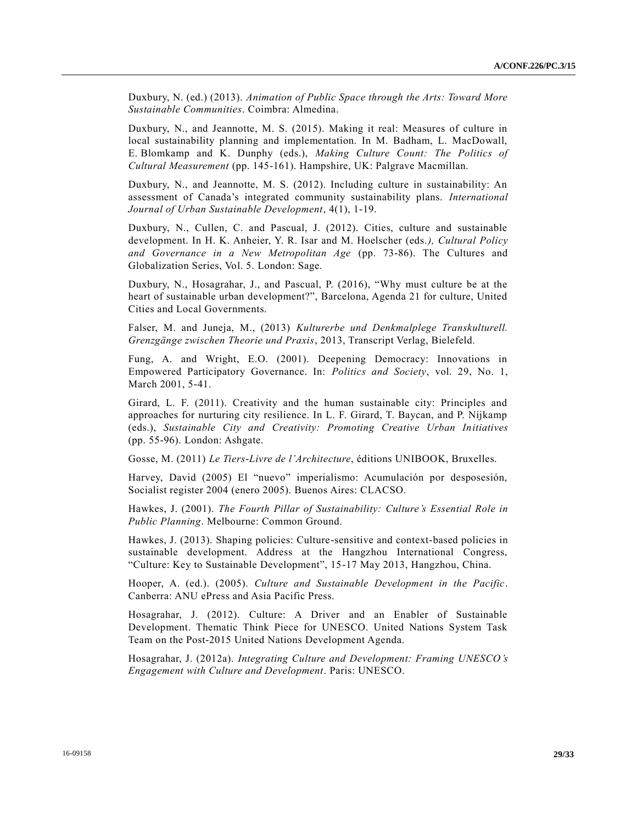Duxbury, N. (ed.) (2013). *Animation of Public Space through the Arts: Toward More Sustainable Communities*. Coimbra: Almedina.

Duxbury, N., and Jeannotte, M. S. (2015). Making it real: Measures of culture in local sustainability planning and implementation. In M. Badham, L. MacDowall, E. Blomkamp and K. Dunphy (eds.), *Making Culture Count: The Politics of Cultural Measurement* (pp. 145-161). Hampshire, UK: Palgrave Macmillan.

Duxbury, N., and Jeannotte, M. S. (2012). Including culture in sustainability: An assessment of Canada's integrated community sustainability plans. *International Journal of Urban Sustainable Development*, 4(1), 1-19.

Duxbury, N., Cullen, C. and Pascual, J. (2012). Cities, culture and sustainable development. In H. K. Anheier, Y. R. Isar and M. Hoelscher (eds*.), Cultural Policy and Governance in a New Metropolitan Age* (pp. 73-86). The Cultures and Globalization Series, Vol. 5. London: Sage.

Duxbury, N., Hosagrahar, J., and Pascual, P. (2016), "Why must culture be at the heart of sustainable urban development?", Barcelona, Agenda 21 for culture, United Cities and Local Governments.

Falser, M. and Juneja, M., (2013) *Kulturerbe und Denkmalplege Transkulturell. Grenzgänge zwischen Theorie und Praxis*, 2013, Transcript Verlag, Bielefeld.

Fung, A. and Wright, E.O. (2001). Deepening Democracy: Innovations in Empowered Participatory Governance. In: *Politics and Society*, vol. 29, No. 1, March 2001, 5-41.

Girard, L. F. (2011). Creativity and the human sustainable city: Principles and approaches for nurturing city resilience. In L. F. Girard, T. Baycan, and P. Nijkamp (eds.), *Sustainable City and Creativity: Promoting Creative Urban Initiatives* (pp. 55-96). London: Ashgate.

Gosse, M. (2011) *Le Tiers-Livre de l'Architecture*, éditions UNIBOOK, Bruxelles.

Harvey, David (2005) El "nuevo" imperialismo: Acumulación por desposesión, Socialist register 2004 (enero 2005). Buenos Aires: CLACSO.

Hawkes, J. (2001). *The Fourth Pillar of Sustainability: Culture's Essential Role in Public Planning*. Melbourne: Common Ground.

Hawkes, J. (2013). Shaping policies: Culture-sensitive and context-based policies in sustainable development. Address at the Hangzhou International Congress, "Culture: Key to Sustainable Development", 15-17 May 2013, Hangzhou, China.

Hooper, A. (ed.). (2005). *Culture and Sustainable Development in the Pacific*. Canberra: ANU ePress and Asia Pacific Press.

Hosagrahar, J. (2012). Culture: A Driver and an Enabler of Sustainable Development. Thematic Think Piece for UNESCO. United Nations System Task Team on the Post-2015 United Nations Development Agenda.

Hosagrahar, J. (2012a). *Integrating Culture and Development: Framing UNESCO's Engagement with Culture and Development*. Paris: UNESCO.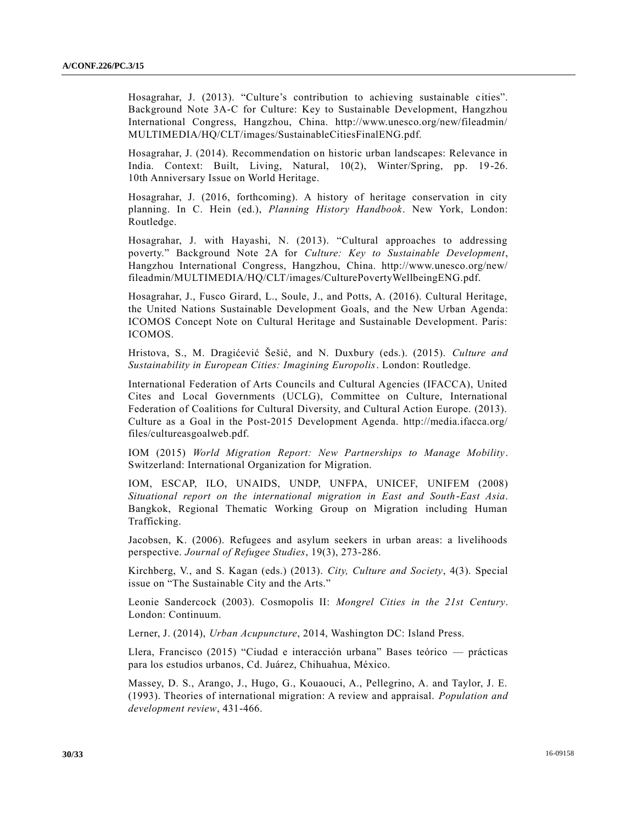Hosagrahar, J. (2013). "Culture's contribution to achieving sustainable cities". Background Note 3A-C for Culture: Key to Sustainable Development, Hangzhou International Congress, Hangzhou, China. http://www.unesco.org/new/fileadmin/ MULTIMEDIA/HQ/CLT/images/SustainableCitiesFinalENG.pdf.

Hosagrahar, J. (2014). Recommendation on historic urban landscapes: Relevance in India. Context: Built, Living, Natural, 10(2), Winter/Spring, pp. 19 -26. 10th Anniversary Issue on World Heritage.

Hosagrahar, J. (2016, forthcoming). A history of heritage conservation in city planning. In C. Hein (ed.), *Planning History Handbook*. New York, London: Routledge.

Hosagrahar, J. with Hayashi, N. (2013). "Cultural approaches to addressing poverty." Background Note 2A for *Culture: Key to Sustainable Development*, Hangzhou International Congress, Hangzhou, China. http://www.unesco.org/new/ fileadmin/MULTIMEDIA/HQ/CLT/images/CulturePovertyWellbeingENG.pdf.

Hosagrahar, J., Fusco Girard, L., Soule, J., and Potts, A. (2016). Cultural Heritage, the United Nations Sustainable Development Goals, and the New Urban Agenda: ICOMOS Concept Note on Cultural Heritage and Sustainable Development. Paris: ICOMOS.

Hristova, S., M. Dragićević Šešić, and N. Duxbury (eds.). (2015). *Culture and Sustainability in European Cities: Imagining Europolis*. London: Routledge.

International Federation of Arts Councils and Cultural Agencies (IFACCA), United Cites and Local Governments (UCLG), Committee on Culture, International Federation of Coalitions for Cultural Diversity, and Cultural Action Europe. (2013). Culture as a Goal in the Post-2015 Development Agenda. http://media.ifacca.org/ files/cultureasgoalweb.pdf.

IOM (2015) *World Migration Report: New Partnerships to Manage Mobility*. Switzerland: International Organization for Migration.

IOM, ESCAP, ILO, UNAIDS, UNDP, UNFPA, UNICEF, UNIFEM (2008) *Situational report on the international migration in East and South-East Asia*. Bangkok, Regional Thematic Working Group on Migration including Human Trafficking.

Jacobsen, K. (2006). Refugees and asylum seekers in urban areas: a livelihoods perspective. *Journal of Refugee Studies*, 19(3), 273-286.

Kirchberg, V., and S. Kagan (eds.) (2013). *City, Culture and Society*, 4(3). Special issue on "The Sustainable City and the Arts."

Leonie Sandercock (2003). Cosmopolis II: *Mongrel Cities in the 21st Century*. London: Continuum.

Lerner, J. (2014), *Urban Acupuncture*, 2014, Washington DC: Island Press.

Llera, Francisco (2015) "Ciudad e interacción urbana" Bases teórico — prácticas para los estudios urbanos, Cd. Juárez, Chihuahua, México.

Massey, D. S., Arango, J., Hugo, G., Kouaouci, A., Pellegrino, A. and Taylor, J. E. (1993). Theories of international migration: A review and appraisal. *Population and development review*, 431-466.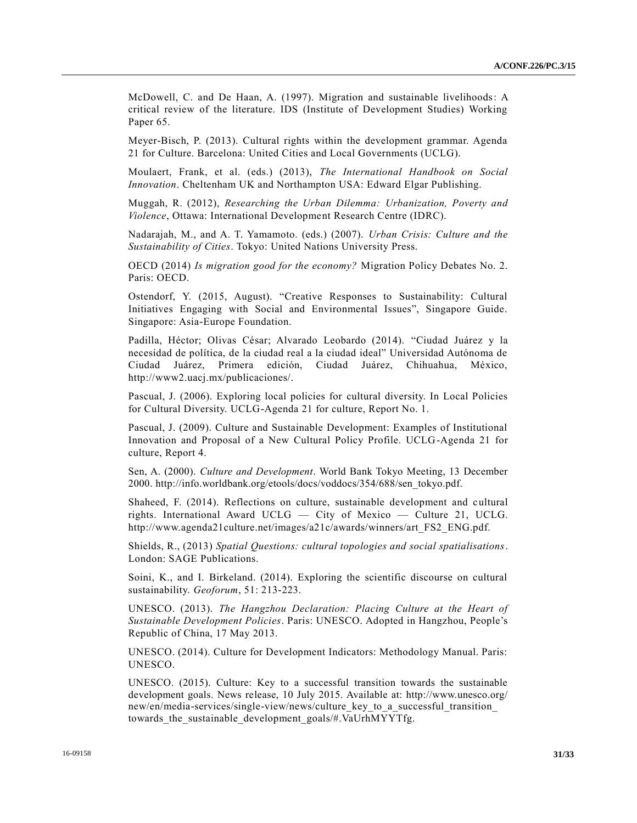McDowell, C. and De Haan, A. (1997). Migration and sustainable livelihoods: A critical review of the literature. IDS (Institute of Development Studies) Working Paper 65.

Meyer-Bisch, P. (2013). Cultural rights within the development grammar. Agenda 21 for Culture. Barcelona: United Cities and Local Governments (UCLG).

Moulaert, Frank, et al. (eds.) (2013), *The International Handbook on Social Innovation*. Cheltenham UK and Northampton USA: Edward Elgar Publishing.

Muggah, R. (2012), *Researching the Urban Dilemma: Urbanization, Poverty and Violence*, Ottawa: International Development Research Centre (IDRC).

Nadarajah, M., and A. T. Yamamoto. (eds.) (2007). *Urban Crisis: Culture and the Sustainability of Cities*. Tokyo: United Nations University Press.

OECD (2014) *Is migration good for the economy?* Migration Policy Debates No. 2. Paris: OECD.

Ostendorf, Y. (2015, August). "Creative Responses to Sustainability: Cultural Initiatives Engaging with Social and Environmental Issues", Singapore Guide. Singapore: Asia-Europe Foundation.

Padilla, Héctor; Olivas César; Alvarado Leobardo (2014). "Ciudad Juárez y la necesidad de política, de la ciudad real a la ciudad ideal" Universidad Autónoma de Ciudad Juárez, Primera edición, Ciudad Juárez, Chihuahua, México, http://www2.uacj.mx/publicaciones/.

Pascual, J. (2006). Exploring local policies for cultural diversity. In Local Policies for Cultural Diversity. UCLG-Agenda 21 for culture, Report No. 1.

Pascual, J. (2009). Culture and Sustainable Development: Examples of Institutional Innovation and Proposal of a New Cultural Policy Profile. UCLG-Agenda 21 for culture, Report 4.

Sen, A. (2000). *Culture and Development*. World Bank Tokyo Meeting, 13 December 2000. http://info.worldbank.org/etools/docs/voddocs/354/688/sen\_tokyo.pdf.

Shaheed, F. (2014). Reflections on culture, sustainable development and cultural rights. International Award UCLG — City of Mexico — Culture 21, UCLG. http://www.agenda21culture.net/images/a21c/awards/winners/art\_FS2\_ENG.pdf.

Shields, R., (2013) *Spatial Questions: cultural topologies and social spatialisations*. London: SAGE Publications.

Soini, K., and I. Birkeland. (2014). Exploring the scientific discourse on cultural sustainability. *Geoforum*, 51: 213-223.

UNESCO. (2013). *The Hangzhou Declaration: Placing Culture at the Heart of Sustainable Development Policies*. Paris: UNESCO. Adopted in Hangzhou, People's Republic of China, 17 May 2013.

UNESCO. (2014). Culture for Development Indicators: Methodology Manual. Paris: UNESCO.

UNESCO. (2015). Culture: Key to a successful transition towards the sustainable development goals. News release, 10 July 2015. Available at: http://www.unesco.org/ new/en/media-services/single-view/news/culture key to a successful transition towards the sustainable development goals/#.VaUrhMYYTfg.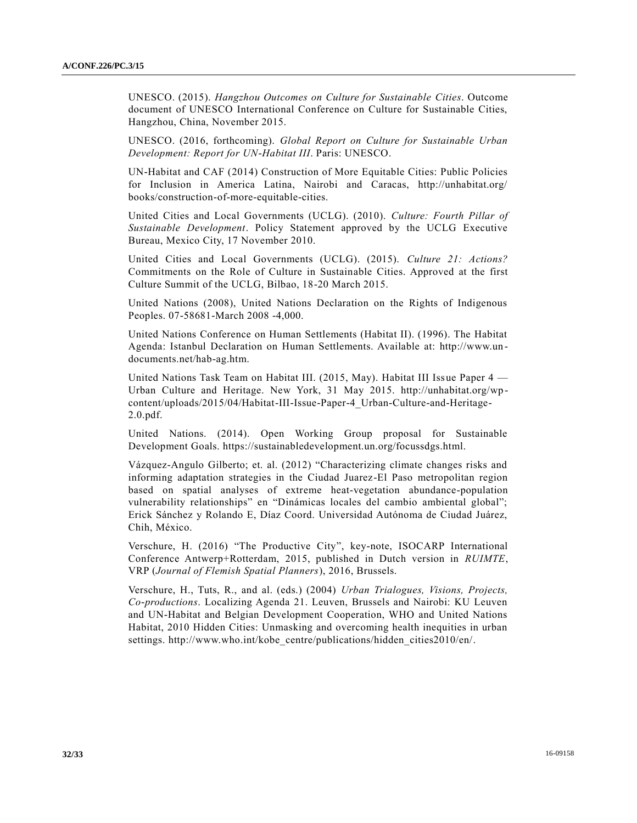UNESCO. (2015). *Hangzhou Outcomes on Culture for Sustainable Cities*. Outcome document of UNESCO International Conference on Culture for Sustainable Cities, Hangzhou, China, November 2015.

UNESCO. (2016, forthcoming). *Global Report on Culture for Sustainable Urban Development: Report for UN-Habitat III*. Paris: UNESCO.

UN-Habitat and CAF (2014) Construction of More Equitable Cities: Public Policies for Inclusion in America Latina, Nairobi and Caracas, http://unhabitat.org/ books/construction-of-more-equitable-cities.

United Cities and Local Governments (UCLG). (2010). *Culture: Fourth Pillar of Sustainable Development*. Policy Statement approved by the UCLG Executive Bureau, Mexico City, 17 November 2010.

United Cities and Local Governments (UCLG). (2015). *Culture 21: Actions?* Commitments on the Role of Culture in Sustainable Cities. Approved at the first Culture Summit of the UCLG, Bilbao, 18-20 March 2015.

United Nations (2008), United Nations Declaration on the Rights of Indigenous Peoples. 07-58681-March 2008 -4,000.

United Nations Conference on Human Settlements (Habitat II). (1996). The Habitat Agenda: Istanbul Declaration on Human Settlements. Available at: http://www.un documents.net/hab-ag.htm.

United Nations Task Team on Habitat III. (2015, May). Habitat III Issue Paper 4 — Urban Culture and Heritage. New York, 31 May 2015. http://unhabitat.org/wp content/uploads/2015/04/Habitat-III-Issue-Paper-4\_Urban-Culture-and-Heritage-2.0.pdf.

United Nations. (2014). Open Working Group proposal for Sustainable Development Goals. https://sustainabledevelopment.un.org/focussdgs.html.

Vázquez-Angulo Gilberto; et. al. (2012) "Characterizing climate changes risks and informing adaptation strategies in the Ciudad Juarez-El Paso metropolitan region based on spatial analyses of extreme heat-vegetation abundance-population vulnerability relationships" en "Dinámicas locales del cambio ambiental global"; Erick Sánchez y Rolando E, Díaz Coord. Universidad Autónoma de Ciudad Juárez, Chih, México.

Verschure, H. (2016) "The Productive City", key-note, ISOCARP International Conference Antwerp+Rotterdam, 2015, published in Dutch version in *RUIMTE*, VRP (*Journal of Flemish Spatial Planners*), 2016, Brussels.

Verschure, H., Tuts, R., and al. (eds.) (2004) *Urban Trialogues, Visions, Projects, Co-productions*. Localizing Agenda 21. Leuven, Brussels and Nairobi: KU Leuven and UN-Habitat and Belgian Development Cooperation, WHO and United Nations Habitat, 2010 Hidden Cities: Unmasking and overcoming health inequities in urban settings. http://www.who.int/kobe\_centre/publications/hidden\_cities2010/en/.